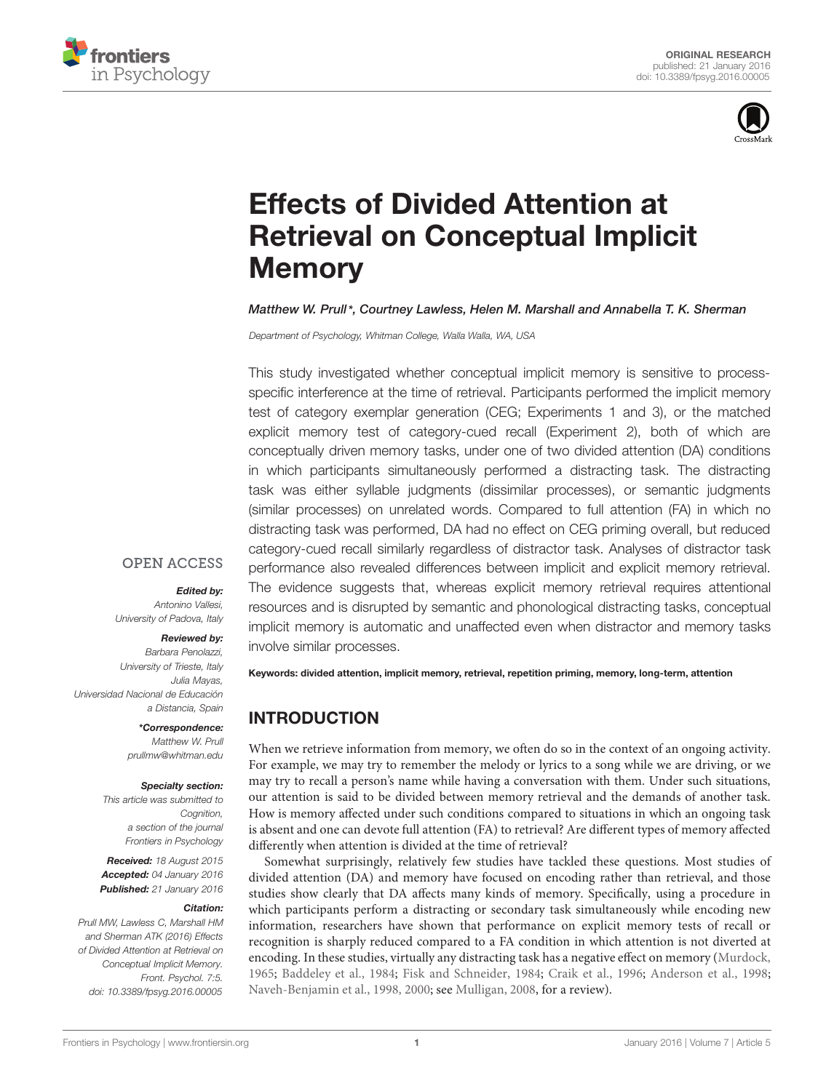



# Effects of Divided Attention at [Retrieval on Conceptual Implicit](http://journal.frontiersin.org/article/10.3389/fpsyg.2016.00005/abstract) Memory

#### *[Matthew W. Prull\\*](http://loop.frontiersin.org/people/110502/overview), Courtney Lawless, Helen M. Marshall and Annabella T. K. Sherman*

*Department of Psychology, Whitman College, Walla Walla, WA, USA*

This study investigated whether conceptual implicit memory is sensitive to processspecific interference at the time of retrieval. Participants performed the implicit memory test of category exemplar generation (CEG; Experiments 1 and 3), or the matched explicit memory test of category-cued recall (Experiment 2), both of which are conceptually driven memory tasks, under one of two divided attention (DA) conditions in which participants simultaneously performed a distracting task. The distracting task was either syllable judgments (dissimilar processes), or semantic judgments (similar processes) on unrelated words. Compared to full attention (FA) in which no distracting task was performed, DA had no effect on CEG priming overall, but reduced category-cued recall similarly regardless of distractor task. Analyses of distractor task performance also revealed differences between implicit and explicit memory retrieval. The evidence suggests that, whereas explicit memory retrieval requires attentional resources and is disrupted by semantic and phonological distracting tasks, conceptual implicit memory is automatic and unaffected even when distractor and memory tasks involve similar processes.

# **OPEN ACCESS**

#### *Edited by:*

*Antonino Vallesi, University of Padova, Italy*

#### *Reviewed by:*

*Barbara Penolazzi, University of Trieste, Italy Julia Mayas, Universidad Nacional de Educación a Distancia, Spain*

> *\*Correspondence: Matthew W. Prull prullmw@whitman.edu*

#### *Specialty section:*

*This article was submitted to Cognition, a section of the journal Frontiers in Psychology*

*Received: 18 August 2015 Accepted: 04 January 2016 Published: 21 January 2016*

#### *Citation:*

*Prull MW, Lawless C, Marshall HM and Sherman ATK (2016) Effects of Divided Attention at Retrieval on Conceptual Implicit Memory. Front. Psychol. 7:5. doi: [10.3389/fpsyg.2016.00005](http://dx.doi.org/10.3389/fpsyg.2016.00005)*

Keywords: divided attention, implicit memory, retrieval, repetition priming, memory, long-term, attention

# INTRODUCTION

When we retrieve information from memory, we often do so in the context of an ongoing activity. For example, we may try to remember the melody or lyrics to a song while we are driving, or we may try to recall a person's name while having a conversation with them. Under such situations, our attention is said to be divided between memory retrieval and the demands of another task. How is memory affected under such conditions compared to situations in which an ongoing task is absent and one can devote full attention (FA) to retrieval? Are different types of memory affected differently when attention is divided at the time of retrieval?

Somewhat surprisingly, relatively few studies have tackled these questions. Most studies of divided attention (DA) and memory have focused on encoding rather than retrieval, and those studies show clearly that DA affects many kinds of memory. Specifically, using a procedure in which participants perform a distracting or secondary task simultaneously while encoding new information, researchers have shown that performance on explicit memory tests of recall or recognition is sharply reduced compared to a FA condition in which attention is not diverted at encoding. In these studies, virtually any distracting task has a negative effect on memory [\(Murdock](#page-11-0), [1965;](#page-11-0) [Baddeley et al.](#page-10-0), [1984](#page-10-0); [Fisk and Schneider](#page-11-1), [1984](#page-11-1); [Craik et al.](#page-10-1), [1996;](#page-10-1) [Anderson et al., 1998](#page-10-2); [Naveh-Benjamin et al.](#page-11-2), [1998,](#page-11-2) [2000](#page-11-3); see [Mulligan](#page-11-4), [2008](#page-11-4), for a review).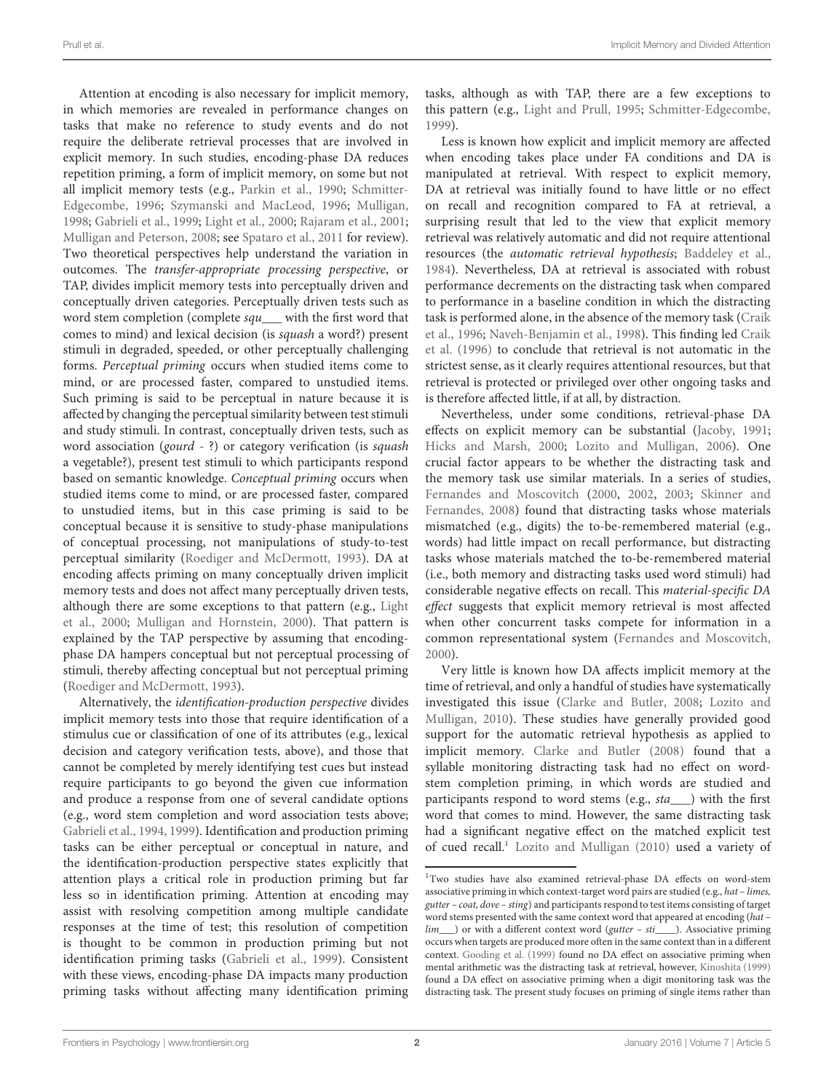Attention at encoding is also necessary for implicit memory, in which memories are revealed in performance changes on tasks that make no reference to study events and do not require the deliberate retrieval processes that are involved in explicit memory. In such studies, encoding-phase DA reduces repetition priming, a form of implicit memory, on some but not all implicit [memory tests \(e.g.,](#page-11-6) [Parkin et al.](#page-11-5), [1990;](#page-11-5) Schmitter-Edgecombe, [1996;](#page-11-6) [Szymanski and MacLeod, 1996;](#page-11-7) [Mulligan,](#page-11-8) [1998](#page-11-8); [Gabrieli et al., 1999;](#page-11-9) [Light et al., 2000;](#page-11-10) [Rajaram et al., 2001;](#page-11-11) [Mulligan and Peterson, 2008;](#page-11-12) see [Spataro et al., 2011](#page-11-13) for review). Two theoretical perspectives help understand the variation in outcomes. The *transfer-appropriate processing perspective*, or TAP, divides implicit memory tests into perceptually driven and conceptually driven categories. Perceptually driven tests such as word stem completion (complete *squ\_\_\_* with the first word that comes to mind) and lexical decision (is *squash* a word?) present stimuli in degraded, speeded, or other perceptually challenging forms. *Perceptual priming* occurs when studied items come to mind, or are processed faster, compared to unstudied items. Such priming is said to be perceptual in nature because it is affected by changing the perceptual similarity between test stimuli and study stimuli. In contrast, conceptually driven tests, such as word association (*gourd* - ?) or category verification (is *squash* a vegetable?), present test stimuli to which participants respond based on semantic knowledge. *Conceptual priming* occurs when studied items come to mind, or are processed faster, compared to unstudied items, but in this case priming is said to be conceptual because it is sensitive to study-phase manipulations of conceptual processing, not manipulations of study-to-test perceptual similarity [\(Roediger and McDermott, 1993](#page-11-14)). DA at encoding affects priming on many conceptually driven implicit memory tests and does not affect many perceptually driven tests, altho[ugh there are some exceptions to that pattern \(e.g.,](#page-11-10) Light et al., [2000;](#page-11-10) [Mulligan and Hornstein](#page-11-15), [2000](#page-11-15)). That pattern is explained by the TAP perspective by assuming that encodingphase DA hampers conceptual but not perceptual processing of stimuli, thereby affecting conceptual but not perceptual priming [\(Roediger and McDermott](#page-11-14), [1993](#page-11-14)).

Alternatively, the *identification-production perspective* divides implicit memory tests into those that require identification of a stimulus cue or classification of one of its attributes (e.g., lexical decision and category verification tests, above), and those that cannot be completed by merely identifying test cues but instead require participants to go beyond the given cue information and produce a response from one of several candidate options (e.g., word stem completion and word association tests above; [Gabrieli et al., 1994](#page-11-16), [1999](#page-11-9)). Identification and production priming tasks can be either perceptual or conceptual in nature, and the identification-production perspective states explicitly that attention plays a critical role in production priming but far less so in identification priming. Attention at encoding may assist with resolving competition among multiple candidate responses at the time of test; this resolution of competition is thought to be common in production priming but not identification priming tasks [\(Gabrieli et al., 1999](#page-11-9)). Consistent with these views, encoding-phase DA impacts many production priming tasks without affecting many identification priming tasks, although as with TAP, there are a few exceptions to this pattern (e.g., [Light and Prull, 1995;](#page-11-17) [Schmitter-Edgecombe](#page-11-18), [1999\)](#page-11-18).

Less is known how explicit and implicit memory are affected when encoding takes place under FA conditions and DA is manipulated at retrieval. With respect to explicit memory, DA at retrieval was initially found to have little or no effect on recall and recognition compared to FA at retrieval, a surprising result that led to the view that explicit memory retrieval was relatively automatic and did not require attentional resources (the *automatic retrieval hypothesis*; [Baddeley et al.](#page-10-0), [1984\)](#page-10-0). Nevertheless, DA at retrieval is associated with robust performance decrements on the distracting task when compared to performance in a baseline condition in which the distracting task [is](#page-10-1) [performed](#page-10-1) [alone,](#page-10-1) [in](#page-10-1) [the](#page-10-1) [absence](#page-10-1) [of](#page-10-1) [the](#page-10-1) [memory](#page-10-1) [task](#page-10-1) [\(](#page-10-1)Craik et al., [1996;](#page-10-1) [Naveh-Benjamin et al.](#page-11-2)[,](#page-10-1) [1998](#page-11-2)[\). This finding led](#page-10-1) Craik et al. [\(1996](#page-10-1)) to conclude that retrieval is not automatic in the strictest sense, as it clearly requires attentional resources, but that retrieval is protected or privileged over other ongoing tasks and is therefore affected little, if at all, by distraction.

Nevertheless, under some conditions, retrieval-phase DA effects on explicit memory can be substantial [\(Jacoby, 1991](#page-11-19); [Hicks and Marsh, 2000;](#page-11-20) [Lozito and Mulligan](#page-11-21), [2006\)](#page-11-21). One crucial factor appears to be whether the distracting task and the memory task use similar materials. In a series of studies, [Fernandes and Moscovitch](#page-10-3) [\(2000,](#page-10-3) [2002,](#page-11-22) [2003;](#page-11-23) Skinner and Fernandes, [2008\)](#page-11-24) found that distracting tasks whose materials mismatched (e.g., digits) the to-be-remembered material (e.g., words) had little impact on recall performance, but distracting tasks whose materials matched the to-be-remembered material (i.e., both memory and distracting tasks used word stimuli) had considerable negative effects on recall. This *material-specific DA effect* suggests that explicit memory retrieval is most affected when other concurrent tasks compete for information in a common representational system [\(Fernandes and Moscovitch](#page-10-3), [2000\)](#page-10-3).

Very little is known how DA affects implicit memory at the time of retrieval, and only a handful of studies have systematically investiga[ted](#page-11-25) [this](#page-11-25) [issue](#page-11-25) [\(Clarke and Butler](#page-10-4)[,](#page-11-25) [2008](#page-10-4)[;](#page-11-25) Lozito and Mulligan, [2010](#page-11-25)). These studies have generally provided good support for the automatic retrieval hypothesis as applied to implicit memory. [Clarke and Butler](#page-10-4) [\(2008](#page-10-4)) found that a syllable monitoring distracting task had no effect on wordstem completion priming, in which words are studied and participants respond to word stems (e.g., *sta\_\_\_*) with the first word that comes to mind. However, the same distracting task had a significant negative effect on the matched explicit test of cued recall.<sup>1</sup> [Lozito and Mulligan](#page-11-25) [\(2010](#page-11-25)) used a variety of

<span id="page-1-0"></span><sup>&</sup>lt;sup>1</sup>Two studies have also examined retrieval-phase DA effects on word-stem associative priming in which context-target word pairs are studied (e.g., *hat – limes, gutter – coat, dove – sting*) and participants respond to test items consisting of target word stems presented with the same context word that appeared at encoding (*hat – lim*) or with a different context word (*gutter – sti*). Associative priming *lim\_\_\_*) or with a different context word (*gutter – sti\_\_\_\_*). Associative priming occurs when targets are produced more often in the same context than in a different context. [Gooding et al.](#page-11-26) [\(1999\)](#page-11-26) found no DA effect on associative priming when mental arithmetic was the distracting task at retrieval, however, [Kinoshita](#page-11-27) [\(1999\)](#page-11-27) found a DA effect on associative priming when a digit monitoring task was the distracting task. The present study focuses on priming of single items rather than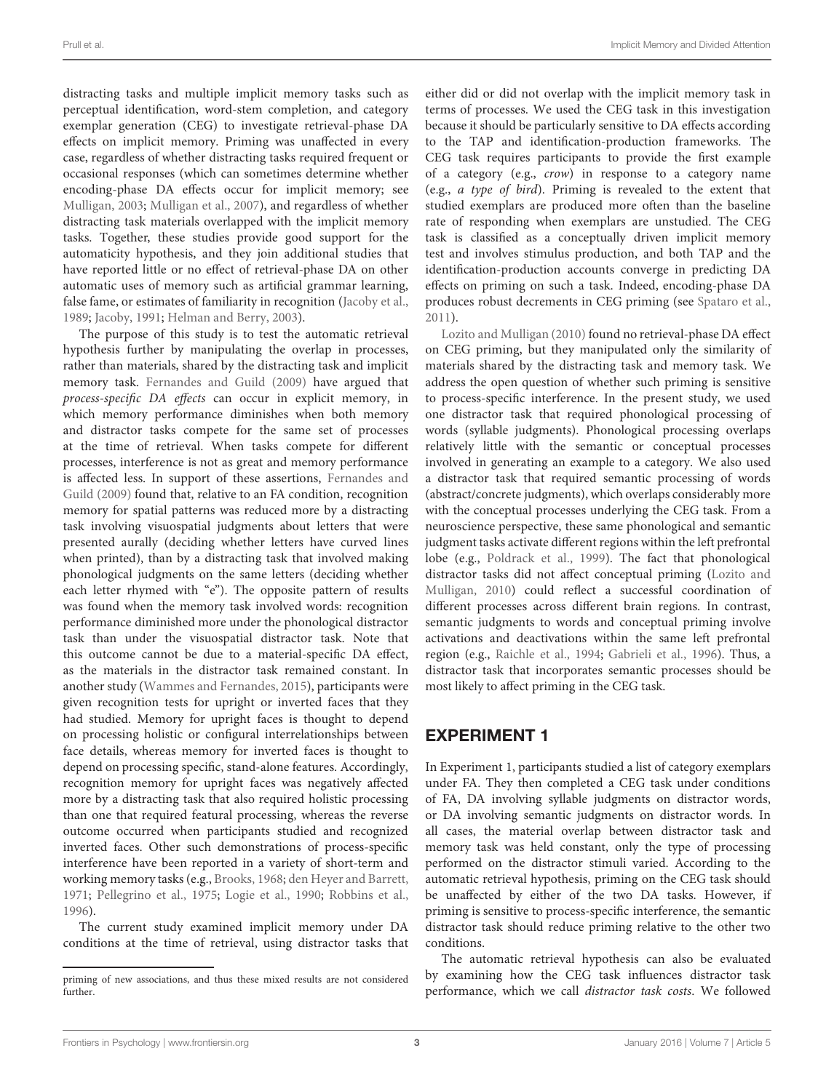distracting tasks and multiple implicit memory tasks such as perceptual identification, word-stem completion, and category exemplar generation (CEG) to investigate retrieval-phase DA effects on implicit memory. Priming was unaffected in every case, regardless of whether distracting tasks required frequent or occasional responses (which can sometimes determine whether encoding-phase DA effects occur for implicit memory; see [Mulligan, 2003](#page-11-28); [Mulligan et al.](#page-11-29), [2007](#page-11-29)), and regardless of whether distracting task materials overlapped with the implicit memory tasks. Together, these studies provide good support for the automaticity hypothesis, and they join additional studies that have reported little or no effect of retrieval-phase DA on other automatic uses of memory such as artificial grammar learning, false fame, or estimates of familiarity in recognition [\(Jacoby et al.,](#page-11-30) [1989](#page-11-30); [Jacoby, 1991](#page-11-19); [Helman and Berry](#page-11-31), [2003\)](#page-11-31).

The purpose of this study is to test the automatic retrieval hypothesis further by manipulating the overlap in processes, rather than materials, shared by the distracting task and implicit memory task. [Fernandes and Guild](#page-10-5) [\(2009\)](#page-10-5) have argued that *process-specific DA effects* can occur in explicit memory, in which memory performance diminishes when both memory and distractor tasks compete for the same set of processes at the time of retrieval. When tasks compete for different processes, interference is not as great and memory performance is aff[ected less. In support of these assertions,](#page-10-5) Fernandes and Guild [\(2009\)](#page-10-5) found that, relative to an FA condition, recognition memory for spatial patterns was reduced more by a distracting task involving visuospatial judgments about letters that were presented aurally (deciding whether letters have curved lines when printed), than by a distracting task that involved making phonological judgments on the same letters (deciding whether each letter rhymed with "e"). The opposite pattern of results was found when the memory task involved words: recognition performance diminished more under the phonological distractor task than under the visuospatial distractor task. Note that this outcome cannot be due to a material-specific DA effect, as the materials in the distractor task remained constant. In another study [\(Wammes and Fernandes, 2015](#page-12-0)), participants were given recognition tests for upright or inverted faces that they had studied. Memory for upright faces is thought to depend on processing holistic or configural interrelationships between face details, whereas memory for inverted faces is thought to depend on processing specific, stand-alone features. Accordingly, recognition memory for upright faces was negatively affected more by a distracting task that also required holistic processing than one that required featural processing, whereas the reverse outcome occurred when participants studied and recognized inverted faces. Other such demonstrations of process-specific interference have been reported in a variety of short-term and working memory tasks (e.g., [Brooks, 1968](#page-10-6); [den Heyer and Barrett,](#page-10-7) [1971](#page-10-7); [Pellegrino et al., 1975](#page-11-32); [Logie et al., 1990](#page-11-33); [Robbins et al.,](#page-11-34) [1996](#page-11-34)).

The current study examined implicit memory under DA conditions at the time of retrieval, using distractor tasks that either did or did not overlap with the implicit memory task in terms of processes. We used the CEG task in this investigation because it should be particularly sensitive to DA effects according to the TAP and identification-production frameworks. The CEG task requires participants to provide the first example of a category (e.g., *crow*) in response to a category name (e.g., *a type of bird*). Priming is revealed to the extent that studied exemplars are produced more often than the baseline rate of responding when exemplars are unstudied. The CEG task is classified as a conceptually driven implicit memory test and involves stimulus production, and both TAP and the identification-production accounts converge in predicting DA effects on priming on such a task. Indeed, encoding-phase DA produces robust decrements in CEG priming (see [Spataro et al.](#page-11-13), [2011\)](#page-11-13).

[Lozito and Mulligan](#page-11-25) [\(2010](#page-11-25)) found no retrieval-phase DA effect on CEG priming, but they manipulated only the similarity of materials shared by the distracting task and memory task. We address the open question of whether such priming is sensitive to process-specific interference. In the present study, we used one distractor task that required phonological processing of words (syllable judgments). Phonological processing overlaps relatively little with the semantic or conceptual processes involved in generating an example to a category. We also used a distractor task that required semantic processing of words (abstract/concrete judgments), which overlaps considerably more with the conceptual processes underlying the CEG task. From a neuroscience perspective, these same phonological and semantic judgment tasks activate different regions within the left prefrontal lobe (e.g., [Poldrack et al., 1999](#page-11-35)). The fact that phonological distracto[r tasks did not affect conceptual priming \(](#page-11-25)Lozito and Mulligan, [2010](#page-11-25)) could reflect a successful coordination of different processes across different brain regions. In contrast, semantic judgments to words and conceptual priming involve activations and deactivations within the same left prefrontal region (e.g., [Raichle et al., 1994;](#page-11-36) [Gabrieli et al.](#page-11-37), [1996](#page-11-37)). Thus, a distractor task that incorporates semantic processes should be most likely to affect priming in the CEG task.

# EXPERIMENT 1

In Experiment 1, participants studied a list of category exemplars under FA. They then completed a CEG task under conditions of FA, DA involving syllable judgments on distractor words, or DA involving semantic judgments on distractor words. In all cases, the material overlap between distractor task and memory task was held constant, only the type of processing performed on the distractor stimuli varied. According to the automatic retrieval hypothesis, priming on the CEG task should be unaffected by either of the two DA tasks. However, if priming is sensitive to process-specific interference, the semantic distractor task should reduce priming relative to the other two conditions.

The automatic retrieval hypothesis can also be evaluated by examining how the CEG task influences distractor task performance, which we call *distractor task costs*. We followed

priming of new associations, and thus these mixed results are not considered further.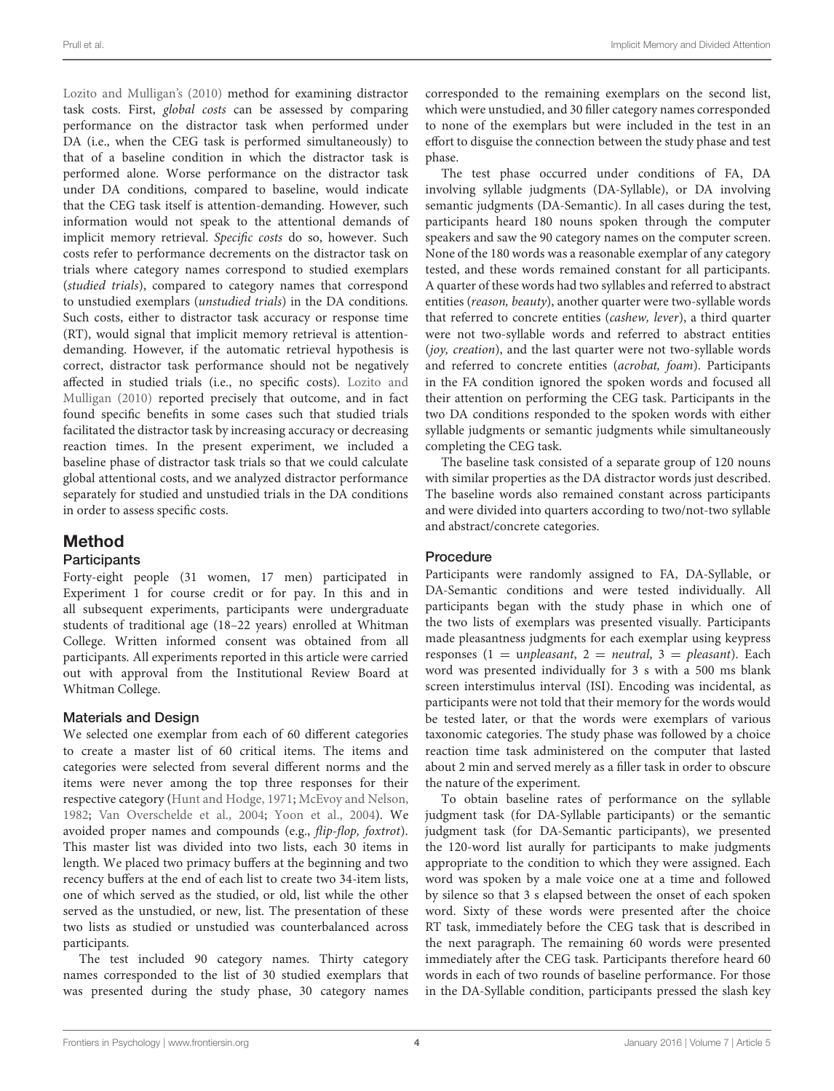[Lozito and Mulligan'](#page-11-25)s [\(2010\)](#page-11-25) method for examining distractor task costs. First, *global costs* can be assessed by comparing performance on the distractor task when performed under DA (i.e., when the CEG task is performed simultaneously) to that of a baseline condition in which the distractor task is performed alone. Worse performance on the distractor task under DA conditions, compared to baseline, would indicate that the CEG task itself is attention-demanding. However, such information would not speak to the attentional demands of implicit memory retrieval. *Specific costs* do so, however. Such costs refer to performance decrements on the distractor task on trials where category names correspond to studied exemplars (*studied trials*), compared to category names that correspond to unstudied exemplars (*unstudied trials*) in the DA conditions. Such costs, either to distractor task accuracy or response time (RT), would signal that implicit memory retrieval is attentiondemanding. However, if the automatic retrieval hypothesis is correct, distractor task performance should not be negatively affected [in studied trials \(i.e., no specific costs\).](#page-11-25) Lozito and Mulligan [\(2010](#page-11-25)) reported precisely that outcome, and in fact found specific benefits in some cases such that studied trials facilitated the distractor task by increasing accuracy or decreasing reaction times. In the present experiment, we included a baseline phase of distractor task trials so that we could calculate global attentional costs, and we analyzed distractor performance separately for studied and unstudied trials in the DA conditions in order to assess specific costs.

# Method

### **Participants**

Forty-eight people (31 women, 17 men) participated in Experiment 1 for course credit or for pay. In this and in all subsequent experiments, participants were undergraduate students of traditional age (18–22 years) enrolled at Whitman College. Written informed consent was obtained from all participants. All experiments reported in this article were carried out with approval from the Institutional Review Board at Whitman College.

### Materials and Design

We selected one exemplar from each of 60 different categories to create a master list of 60 critical items. The items and categories were selected from several different norms and the items were never among the top three responses for their respective category [\(Hunt and Hodge, 1971](#page-11-38); [McEvoy and Nelson,](#page-11-39) [1982](#page-11-39); [Van Overschelde et al.](#page-11-40), [2004;](#page-11-40) [Yoon et al., 2004\)](#page-12-1). We avoided proper names and compounds (e.g., *flip-flop, foxtrot*). This master list was divided into two lists, each 30 items in length. We placed two primacy buffers at the beginning and two recency buffers at the end of each list to create two 34-item lists, one of which served as the studied, or old, list while the other served as the unstudied, or new, list. The presentation of these two lists as studied or unstudied was counterbalanced across participants.

The test included 90 category names. Thirty category names corresponded to the list of 30 studied exemplars that was presented during the study phase, 30 category names corresponded to the remaining exemplars on the second list, which were unstudied, and 30 filler category names corresponded to none of the exemplars but were included in the test in an effort to disguise the connection between the study phase and test phase.

The test phase occurred under conditions of FA, DA involving syllable judgments (DA-Syllable), or DA involving semantic judgments (DA-Semantic). In all cases during the test, participants heard 180 nouns spoken through the computer speakers and saw the 90 category names on the computer screen. None of the 180 words was a reasonable exemplar of any category tested, and these words remained constant for all participants. A quarter of these words had two syllables and referred to abstract entities (*reason, beauty*), another quarter were two-syllable words that referred to concrete entities (*cashew, lever*), a third quarter were not two-syllable words and referred to abstract entities (*joy, creation*), and the last quarter were not two-syllable words and referred to concrete entities (*acrobat, foam*). Participants in the FA condition ignored the spoken words and focused all their attention on performing the CEG task. Participants in the two DA conditions responded to the spoken words with either syllable judgments or semantic judgments while simultaneously completing the CEG task.

The baseline task consisted of a separate group of 120 nouns with similar properties as the DA distractor words just described. The baseline words also remained constant across participants and were divided into quarters according to two/not-two syllable and abstract/concrete categories.

### Procedure

Participants were randomly assigned to FA, DA-Syllable, or DA-Semantic conditions and were tested individually. All participants began with the study phase in which one of the two lists of exemplars was presented visually. Participants made pleasantness judgments for each exemplar using keypress responses (1 = u*npleasant*, 2 = *neutral*, 3 = *pleasant*). Each word was presented individually for 3 s with a 500 ms blank screen interstimulus interval (ISI). Encoding was incidental, as participants were not told that their memory for the words would be tested later, or that the words were exemplars of various taxonomic categories. The study phase was followed by a choice reaction time task administered on the computer that lasted about 2 min and served merely as a filler task in order to obscure the nature of the experiment.

To obtain baseline rates of performance on the syllable judgment task (for DA-Syllable participants) or the semantic judgment task (for DA-Semantic participants), we presented the 120-word list aurally for participants to make judgments appropriate to the condition to which they were assigned. Each word was spoken by a male voice one at a time and followed by silence so that 3 s elapsed between the onset of each spoken word. Sixty of these words were presented after the choice RT task, immediately before the CEG task that is described in the next paragraph. The remaining 60 words were presented immediately after the CEG task. Participants therefore heard 60 words in each of two rounds of baseline performance. For those in the DA-Syllable condition, participants pressed the slash key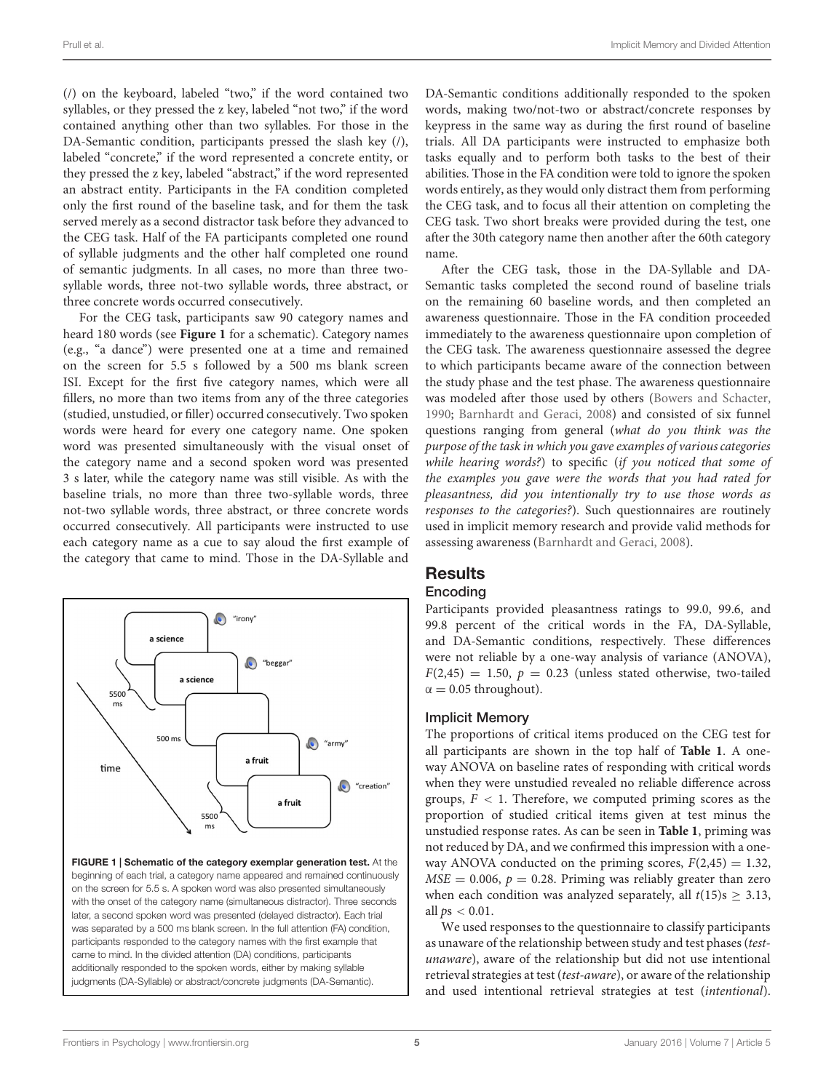(/) on the keyboard, labeled "two," if the word contained two syllables, or they pressed the z key, labeled "not two," if the word contained anything other than two syllables. For those in the DA-Semantic condition, participants pressed the slash key (/), labeled "concrete," if the word represented a concrete entity, or they pressed the z key, labeled "abstract," if the word represented an abstract entity. Participants in the FA condition completed only the first round of the baseline task, and for them the task served merely as a second distractor task before they advanced to the CEG task. Half of the FA participants completed one round of syllable judgments and the other half completed one round of semantic judgments. In all cases, no more than three twosyllable words, three not-two syllable words, three abstract, or three concrete words occurred consecutively.

For the CEG task, participants saw 90 category names and heard 180 words (see **[Figure 1](#page-4-0)** for a schematic). Category names (e.g., "a dance") were presented one at a time and remained on the screen for 5.5 s followed by a 500 ms blank screen ISI. Except for the first five category names, which were all fillers, no more than two items from any of the three categories (studied, unstudied, or filler) occurred consecutively. Two spoken words were heard for every one category name. One spoken word was presented simultaneously with the visual onset of the category name and a second spoken word was presented 3 s later, while the category name was still visible. As with the baseline trials, no more than three two-syllable words, three not-two syllable words, three abstract, or three concrete words occurred consecutively. All participants were instructed to use each category name as a cue to say aloud the first example of the category that came to mind. Those in the DA-Syllable and



<span id="page-4-0"></span>on the screen for 5.5 s. A spoken word was also presented simultaneously with the onset of the category name (simultaneous distractor). Three seconds later, a second spoken word was presented (delayed distractor). Each trial was separated by a 500 ms blank screen. In the full attention (FA) condition, participants responded to the category names with the first example that came to mind. In the divided attention (DA) conditions, participants additionally responded to the spoken words, either by making syllable judgments (DA-Syllable) or abstract/concrete judgments (DA-Semantic).

DA-Semantic conditions additionally responded to the spoken words, making two/not-two or abstract/concrete responses by keypress in the same way as during the first round of baseline trials. All DA participants were instructed to emphasize both tasks equally and to perform both tasks to the best of their abilities. Those in the FA condition were told to ignore the spoken words entirely, as they would only distract them from performing the CEG task, and to focus all their attention on completing the CEG task. Two short breaks were provided during the test, one after the 30th category name then another after the 60th category name.

After the CEG task, those in the DA-Syllable and DA-Semantic tasks completed the second round of baseline trials on the remaining 60 baseline words, and then completed an awareness questionnaire. Those in the FA condition proceeded immediately to the awareness questionnaire upon completion of the CEG task. The awareness questionnaire assessed the degree to which participants became aware of the connection between the study phase and the test phase. The awareness questionnaire was modeled after those used by others [\(Bowers and Schacter](#page-10-8), [1990;](#page-10-8) [Barnhardt and Geraci](#page-10-9), [2008](#page-10-9)) and consisted of six funnel questions ranging from general (*what do you think was the purpose of the task in which you gave examples of various categories while hearing words?*) to specific (*if you noticed that some of the examples you gave were the words that you had rated for pleasantness, did you intentionally try to use those words as responses to the categories?*). Such questionnaires are routinely used in implicit memory research and provide valid methods for assessing awareness [\(Barnhardt and Geraci](#page-10-9), [2008\)](#page-10-9).

# **Results**

# Encoding

Participants provided pleasantness ratings to 99.0, 99.6, and 99.8 percent of the critical words in the FA, DA-Syllable, and DA-Semantic conditions, respectively. These differences were not reliable by a one-way analysis of variance (ANOVA),  $F(2,45) = 1.50, p = 0.23$  (unless stated otherwise, two-tailed  $\alpha = 0.05$  throughout).

# Implicit Memory

The proportions of critical items produced on the CEG test for all participants are shown in the top half of **[Table 1](#page-5-0)**. A oneway ANOVA on baseline rates of responding with critical words when they were unstudied revealed no reliable difference across groups,  $F < 1$ . Therefore, we computed priming scores as the proportion of studied critical items given at test minus the unstudied response rates. As can be seen in **[Table 1](#page-5-0)**, priming was not reduced by DA, and we confirmed this impression with a oneway ANOVA conducted on the priming scores,  $F(2,45) = 1.32$ ,  $MSE = 0.006$ ,  $p = 0.28$ . Priming was reliably greater than zero when each condition was analyzed separately, all  $t(15)$ s  $\geq 3.13$ , all *p*s *<* 0.01.

We used responses to the questionnaire to classify participants as unaware of the relationship between study and test phases (*testunaware*), aware of the relationship but did not use intentional retrieval strategies at test (*test-aware*), or aware of the relationship and used intentional retrieval strategies at test (*intentional*).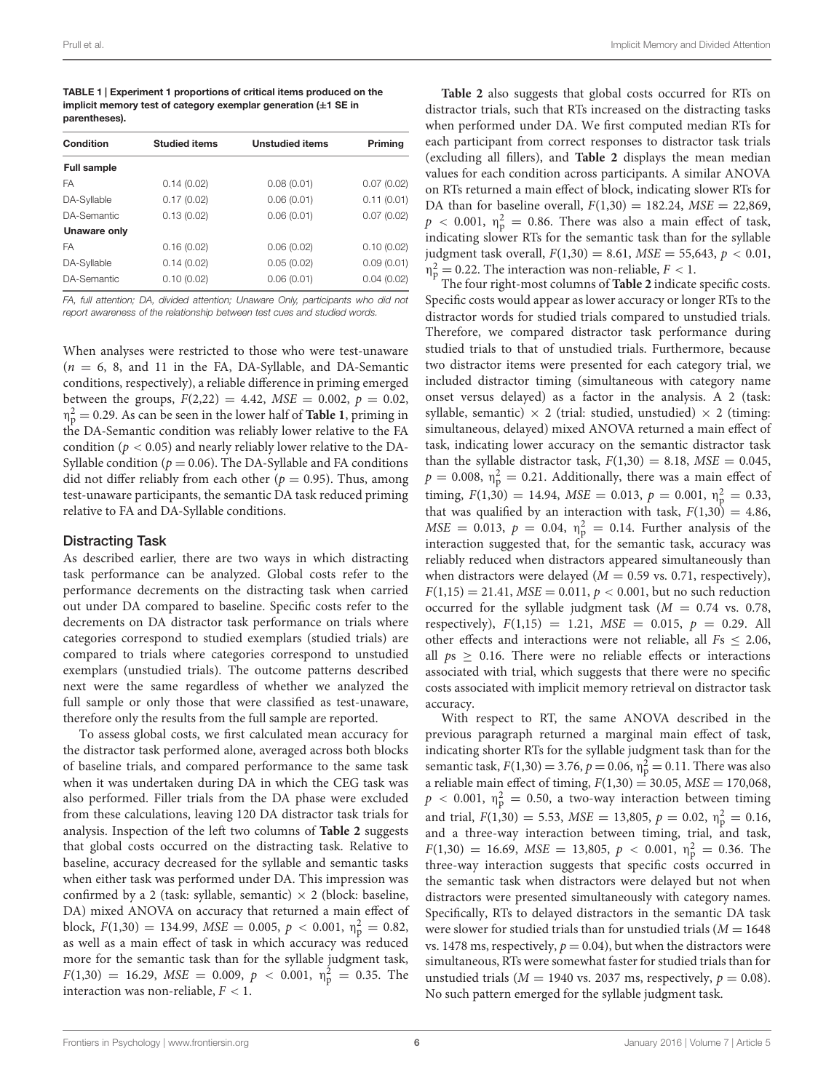<span id="page-5-0"></span>TABLE 1 | Experiment 1 proportions of critical items produced on the implicit memory test of category exemplar generation (**±**1 SE in parentheses).

| Condition          | <b>Studied items</b> | <b>Unstudied items</b> | Priming    |  |
|--------------------|----------------------|------------------------|------------|--|
| <b>Full sample</b> |                      |                        |            |  |
| FA                 | 0.14(0.02)           | 0.08(0.01)             | 0.07(0.02) |  |
| DA-Syllable        | 0.17(0.02)           | 0.06(0.01)             | 0.11(0.01) |  |
| DA-Semantic        | 0.13(0.02)           | 0.06(0.01)             | 0.07(0.02) |  |
| Unaware only       |                      |                        |            |  |
| FA                 | 0.16(0.02)           | 0.06(0.02)             | 0.10(0.02) |  |
| DA-Syllable        | 0.14(0.02)           | 0.05(0.02)             | 0.09(0.01) |  |
| DA-Semantic        | 0.10(0.02)           | 0.06(0.01)             | 0.04(0.02) |  |

*FA, full attention; DA, divided attention; Unaware Only, participants who did not report awareness of the relationship between test cues and studied words.*

When analyses were restricted to those who were test-unaware  $(n = 6, 8, and 11$  in the FA, DA-Syllable, and DA-Semantic conditions, respectively), a reliable difference in priming emerged between the groups,  $F(2,22) = 4.42$ ,  $MSE = 0.002$ ,  $p = 0.02$ ,  $\eta_P^2 = 0.29$ . As can be seen in the lower half of **[Table 1](#page-5-0)**, priming in the DA-Semantic condition was reliably lower relative to the EA the DA-Semantic condition was reliably lower relative to the FA condition ( $p < 0.05$ ) and nearly reliably lower relative to the DA-Syllable condition ( $p = 0.06$ ). The DA-Syllable and FA conditions did not differ reliably from each other ( $p = 0.95$ ). Thus, among test-unaware participants, the semantic DA task reduced priming relative to FA and DA-Syllable conditions.

#### Distracting Task

As described earlier, there are two ways in which distracting task performance can be analyzed. Global costs refer to the performance decrements on the distracting task when carried out under DA compared to baseline. Specific costs refer to the decrements on DA distractor task performance on trials where categories correspond to studied exemplars (studied trials) are compared to trials where categories correspond to unstudied exemplars (unstudied trials). The outcome patterns described next were the same regardless of whether we analyzed the full sample or only those that were classified as test-unaware, therefore only the results from the full sample are reported.

To assess global costs, we first calculated mean accuracy for the distractor task performed alone, averaged across both blocks of baseline trials, and compared performance to the same task when it was undertaken during DA in which the CEG task was also performed. Filler trials from the DA phase were excluded from these calculations, leaving 120 DA distractor task trials for analysis. Inspection of the left two columns of **[Table 2](#page-6-0)** suggests that global costs occurred on the distracting task. Relative to baseline, accuracy decreased for the syllable and semantic tasks when either task was performed under DA. This impression was confirmed by a 2 (task: syllable, semantic)  $\times$  2 (block: baseline, DA) mixed ANOVA on accuracy that returned a main effect of block,  $F(1,30) = 134.99$ ,  $MSE = 0.005$ ,  $p < 0.001$ ,  $\eta_p^2 = 0.82$ , as well as a main effect of task in which accuracy was reduced more for the semantic task than for the syllable judgment task,  $F(1,30) = 16.29$ ,  $MSE = 0.009$ ,  $p < 0.001$ ,  $\eta_p^2 = 0.35$ . The interaction was non-reliable,  $F < 1$ .

**[Table 2](#page-6-0)** also suggests that global costs occurred for RTs on distractor trials, such that RTs increased on the distracting tasks when performed under DA. We first computed median RTs for each participant from correct responses to distractor task trials (excluding all fillers), and **[Table 2](#page-6-0)** displays the mean median values for each condition across participants. A similar ANOVA on RTs returned a main effect of block, indicating slower RTs for DA than for baseline overall,  $F(1,30) = 182.24$ ,  $MSE = 22,869$ ,  $p < 0.001$ ,  $\eta_p^2 = 0.86$ . There was also a main effect of task, indicating slower RTs for the semantic task than for the syllable judgment task overall, *F*(1,30) = 8.61, *MSE* = 55,643, *p <* 0.01,  $n_p^2 = 0.22$ . The interaction was non-reliable,  $F < 1$ .

The four right-most columns of **[Table 2](#page-6-0)** indicate specific costs. Specific costs would appear as lower accuracy or longer RTs to the distractor words for studied trials compared to unstudied trials. Therefore, we compared distractor task performance during studied trials to that of unstudied trials. Furthermore, because two distractor items were presented for each category trial, we included distractor timing (simultaneous with category name onset versus delayed) as a factor in the analysis. A 2 (task: syllable, semantic)  $\times$  2 (trial: studied, unstudied)  $\times$  2 (timing: simultaneous, delayed) mixed ANOVA returned a main effect of task, indicating lower accuracy on the semantic distractor task than the syllable distractor task,  $F(1,30) = 8.18$ ,  $MSE = 0.045$ ,  $p = 0.008$ ,  $\eta_{\rm p}^2 = 0.21$ . Additionally, there was a main effect of timing,  $F(1,30) = 14.94$ ,  $MSE = 0.013$ ,  $p = 0.001$ ,  $n_p^2 = 0.33$ , that was qualified by an interaction with task,  $F(1,30) = 4.86$ ,  $MSE = 0.013, p = 0.04, \eta_{\rm p}^2 = 0.14.$  Further analysis of the interaction suggested that, for the semantic task, accuracy was reliably reduced when distractors appeared simultaneously than when distractors were delayed  $(M = 0.59$  vs. 0.71, respectively),  $F(1,15) = 21.41$ ,  $MSE = 0.011$ ,  $p < 0.001$ , but no such reduction occurred for the syllable judgment task  $(M = 0.74$  vs. 0.78, respectively),  $F(1,15) = 1.21$ ,  $MSE = 0.015$ ,  $p = 0.29$ . All other effects and interactions were not reliable, all  $Fs \leq 2.06$ , all  $ps \geq 0.16$ . There were no reliable effects or interactions associated with trial, which suggests that there were no specific costs associated with implicit memory retrieval on distractor task accuracy.

With respect to RT, the same ANOVA described in the previous paragraph returned a marginal main effect of task, indicating shorter RTs for the syllable judgment task than for the semantic task,  $F(1,30) = 3.76$ ,  $p = 0.06$ ,  $\eta_{p}^{2} = 0.11$ . There was also a reliable main effect of timing,  $F(1,30) = 30.05$ ,  $MSE = 170,068$ ,  $p < 0.001$ ,  $\eta_p^2 = 0.50$ , a two-way interaction between timing and trial,  $F(1,30) = 5.53$ ,  $MSE = 13,805$ ,  $p = 0.02$ ,  $\eta_p^2 = 0.16$ , and a three-way interaction between timing, trial, and task,  $F(1,30) = 16.69$ ,  $MSE = 13,805$ ,  $p < 0.001$ ,  $\eta_p^2 = 0.36$ . The three-way interaction suggests that specific costs occurred in the semantic task when distractors were delayed but not when distractors were presented simultaneously with category names. Specifically, RTs to delayed distractors in the semantic DA task were slower for studied trials than for unstudied trials  $(M = 1648)$ vs. 1478 ms, respectively,  $p = 0.04$ ), but when the distractors were simultaneous, RTs were somewhat faster for studied trials than for unstudied trials ( $M = 1940$  vs. 2037 ms, respectively,  $p = 0.08$ ). No such pattern emerged for the syllable judgment task.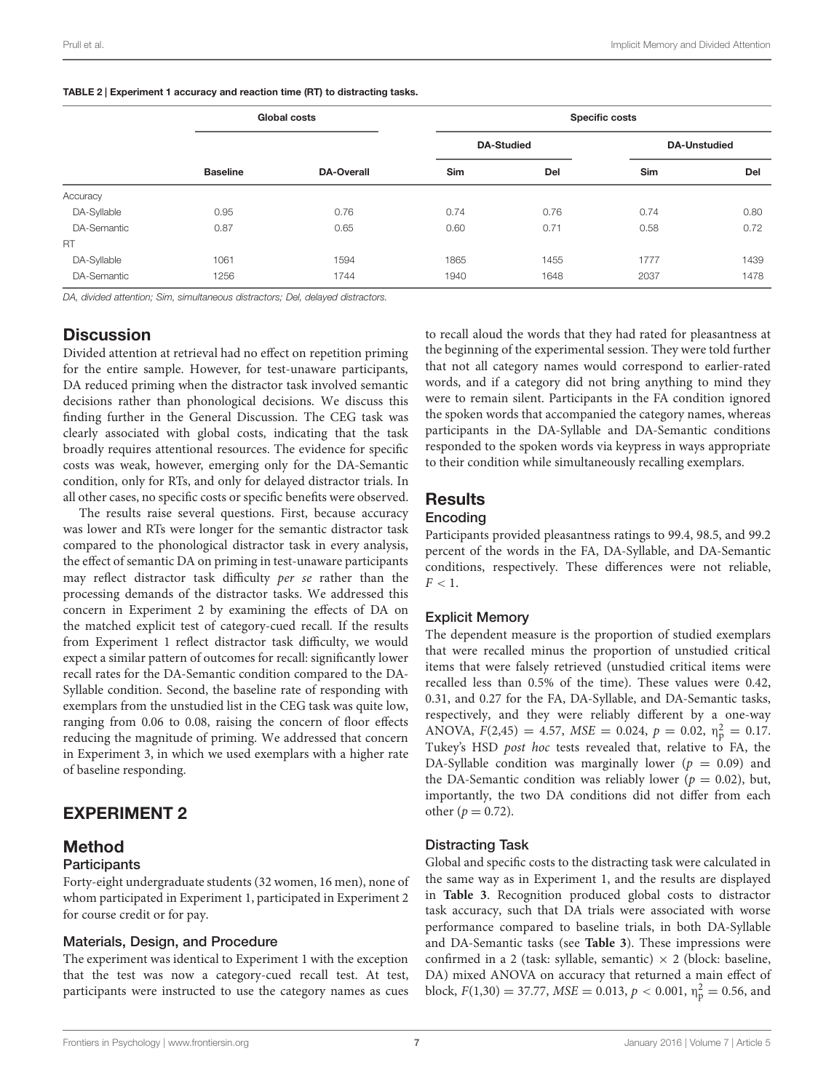<span id="page-6-0"></span>

| TABLE 2   Experiment 1 accuracy and reaction time (RT) to distracting tasks. |  |  |  |
|------------------------------------------------------------------------------|--|--|--|
|------------------------------------------------------------------------------|--|--|--|

|             | Global costs    |                   | <b>Specific costs</b> |      |                     |      |
|-------------|-----------------|-------------------|-----------------------|------|---------------------|------|
|             | <b>Baseline</b> | <b>DA-Overall</b> | <b>DA-Studied</b>     |      | <b>DA-Unstudied</b> |      |
|             |                 |                   | Sim                   | Del  | Sim                 | Del  |
| Accuracy    |                 |                   |                       |      |                     |      |
| DA-Syllable | 0.95            | 0.76              | 0.74                  | 0.76 | 0.74                | 0.80 |
| DA-Semantic | 0.87            | 0.65              | 0.60                  | 0.71 | 0.58                | 0.72 |
| <b>RT</b>   |                 |                   |                       |      |                     |      |
| DA-Syllable | 1061            | 1594              | 1865                  | 1455 | 1777                | 1439 |
| DA-Semantic | 1256            | 1744              | 1940                  | 1648 | 2037                | 1478 |

*DA, divided attention; Sim, simultaneous distractors; Del, delayed distractors.*

# **Discussion**

Divided attention at retrieval had no effect on repetition priming for the entire sample. However, for test-unaware participants, DA reduced priming when the distractor task involved semantic decisions rather than phonological decisions. We discuss this finding further in the General Discussion. The CEG task was clearly associated with global costs, indicating that the task broadly requires attentional resources. The evidence for specific costs was weak, however, emerging only for the DA-Semantic condition, only for RTs, and only for delayed distractor trials. In all other cases, no specific costs or specific benefits were observed.

The results raise several questions. First, because accuracy was lower and RTs were longer for the semantic distractor task compared to the phonological distractor task in every analysis, the effect of semantic DA on priming in test-unaware participants may reflect distractor task difficulty *per se* rather than the processing demands of the distractor tasks. We addressed this concern in Experiment 2 by examining the effects of DA on the matched explicit test of category-cued recall. If the results from Experiment 1 reflect distractor task difficulty, we would expect a similar pattern of outcomes for recall: significantly lower recall rates for the DA-Semantic condition compared to the DA-Syllable condition. Second, the baseline rate of responding with exemplars from the unstudied list in the CEG task was quite low, ranging from 0.06 to 0.08, raising the concern of floor effects reducing the magnitude of priming. We addressed that concern in Experiment 3, in which we used exemplars with a higher rate of baseline responding.

# EXPERIMENT 2

# Method

#### **Participants**

Forty-eight undergraduate students (32 women, 16 men), none of whom participated in Experiment 1, participated in Experiment 2 for course credit or for pay.

#### Materials, Design, and Procedure

The experiment was identical to Experiment 1 with the exception that the test was now a category-cued recall test. At test, participants were instructed to use the category names as cues to recall aloud the words that they had rated for pleasantness at the beginning of the experimental session. They were told further that not all category names would correspond to earlier-rated words, and if a category did not bring anything to mind they were to remain silent. Participants in the FA condition ignored the spoken words that accompanied the category names, whereas participants in the DA-Syllable and DA-Semantic conditions responded to the spoken words via keypress in ways appropriate to their condition while simultaneously recalling exemplars.

# **Results**

#### Encoding

Participants provided pleasantness ratings to 99.4, 98.5, and 99.2 percent of the words in the FA, DA-Syllable, and DA-Semantic conditions, respectively. These differences were not reliable,  $F < 1$ .

### Explicit Memory

The dependent measure is the proportion of studied exemplars that were recalled minus the proportion of unstudied critical items that were falsely retrieved (unstudied critical items were recalled less than 0.5% of the time). These values were 0.42, 0.31, and 0.27 for the FA, DA-Syllable, and DA-Semantic tasks, respectively, and they were reliably different by a one-way ANOVA,  $F(2,45) = 4.57$ ,  $MSE = 0.024$ ,  $p = 0.02$ ,  $\eta_{\rm p}^2 = 0.17$ . Tukey's HSD *post hoc* tests revealed that, relative to FA, the DA-Syllable condition was marginally lower ( $p = 0.09$ ) and the DA-Semantic condition was reliably lower ( $p = 0.02$ ), but, importantly, the two DA conditions did not differ from each other ( $p = 0.72$ ).

### Distracting Task

Global and specific costs to the distracting task were calculated in the same way as in Experiment 1, and the results are displayed in **[Table 3](#page-7-0)**. Recognition produced global costs to distractor task accuracy, such that DA trials were associated with worse performance compared to baseline trials, in both DA-Syllable and DA-Semantic tasks (see **[Table 3](#page-7-0)**). These impressions were confirmed in a 2 (task: syllable, semantic)  $\times$  2 (block: baseline, DA) mixed ANOVA on accuracy that returned a main effect of block,  $F(1,30) = 37.77$ ,  $MSE = 0.013$ ,  $p < 0.001$ ,  $\eta_p^2 = 0.56$ , and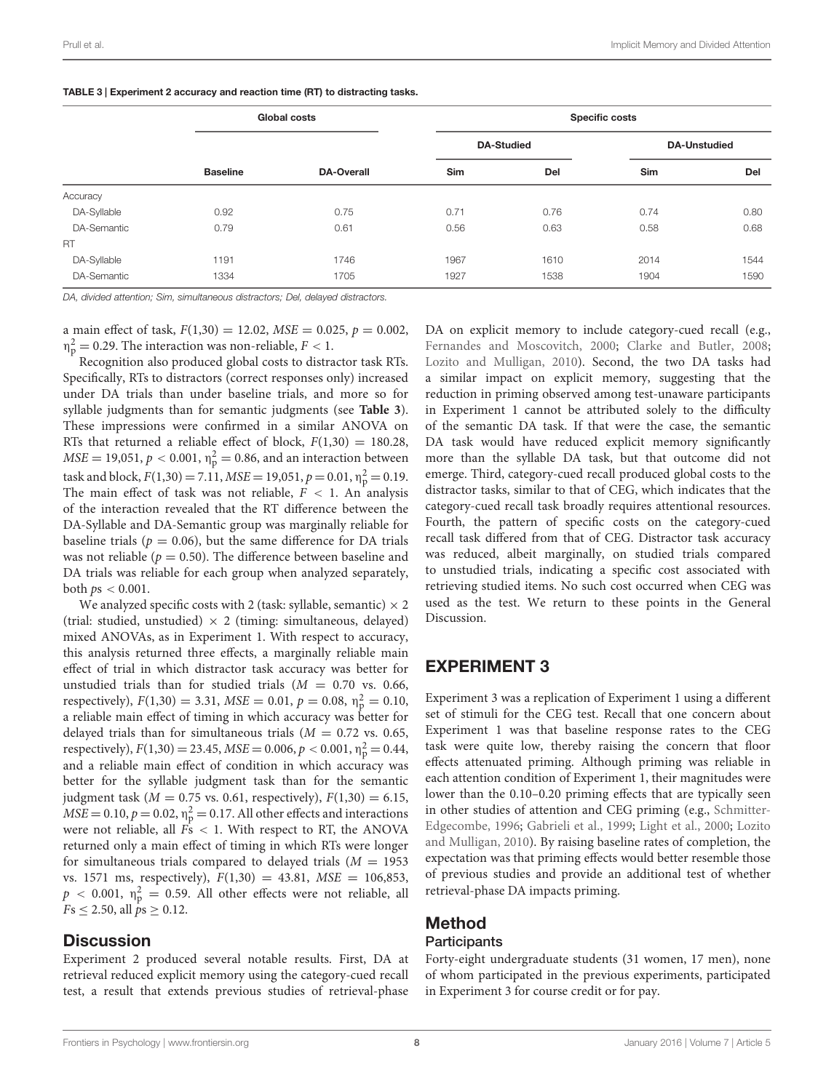|             | Global costs    |                   | <b>Specific costs</b> |      |                     |      |
|-------------|-----------------|-------------------|-----------------------|------|---------------------|------|
|             |                 |                   | <b>DA-Studied</b>     |      | <b>DA-Unstudied</b> |      |
|             | <b>Baseline</b> | <b>DA-Overall</b> | Sim                   | Del  | <b>Sim</b>          | Del  |
| Accuracy    |                 |                   |                       |      |                     |      |
| DA-Syllable | 0.92            | 0.75              | 0.71                  | 0.76 | 0.74                | 0.80 |
| DA-Semantic | 0.79            | 0.61              | 0.56                  | 0.63 | 0.58                | 0.68 |
| RT.         |                 |                   |                       |      |                     |      |
| DA-Syllable | 1191            | 1746              | 1967                  | 1610 | 2014                | 1544 |
| DA-Semantic | 1334            | 1705              | 1927                  | 1538 | 1904                | 1590 |

<span id="page-7-0"></span>TABLE 3 | Experiment 2 accuracy and reaction time (RT) to distracting tasks.

*DA, divided attention; Sim, simultaneous distractors; Del, delayed distractors.*

a main effect of task,  $F(1,30) = 12.02$ ,  $MSE = 0.025$ ,  $p = 0.002$ ,  $n_{\rm p}^2 = 0.29$ . The interaction was non-reliable,  $F < 1$ .

Recognition also produced global costs to distractor task RTs. Specifically, RTs to distractors (correct responses only) increased under DA trials than under baseline trials, and more so for syllable judgments than for semantic judgments (see **[Table 3](#page-7-0)**). These impressions were confirmed in a similar ANOVA on RTs that returned a reliable effect of block,  $F(1,30) = 180.28$ ,  $MSE = 19,051, p < 0.001, \eta_p^2 = 0.86$ , and an interaction between task and block,  $F(1,30) = 7.11$ ,  $MSE = 19,051$ ,  $p = 0.01$ ,  $\eta_p^2 = 0.19$ . The main effect of task was not reliable,  $F < 1$ . An analysis of the interaction revealed that the RT difference between the DA-Syllable and DA-Semantic group was marginally reliable for baseline trials ( $p = 0.06$ ), but the same difference for DA trials was not reliable ( $p = 0.50$ ). The difference between baseline and DA trials was reliable for each group when analyzed separately, both *p*s *<* 0.001.

We analyzed specific costs with 2 (task: syllable, semantic)  $\times$  2 (trial: studied, unstudied)  $\times$  2 (timing: simultaneous, delayed) mixed ANOVAs, as in Experiment 1. With respect to accuracy, this analysis returned three effects, a marginally reliable main effect of trial in which distractor task accuracy was better for unstudied trials than for studied trials  $(M = 0.70$  vs. 0.66, respectively),  $F(1,30) = 3.31$ ,  $MSE = 0.01$ ,  $p = 0.08$ ,  $\eta_p^2 = 0.10$ , a reliable main effect of timing in which accuracy was better for delayed trials than for simultaneous trials  $(M = 0.72$  vs. 0.65, respectively),  $F(1,30) = 23.45$ ,  $MSE = 0.006$ ,  $p < 0.001$ ,  $\eta_p^2 = 0.44$ , and a reliable main effect of condition in which accuracy was better for the syllable judgment task than for the semantic judgment task ( $M = 0.75$  vs. 0.61, respectively),  $F(1,30) = 6.15$ ,  $MSE = 0.10, p = 0.02, \eta_{\rm p}^2 = 0.17$ . All other effects and interactions were not reliable, all *F*s *<* 1. With respect to RT, the ANOVA returned only a main effect of timing in which RTs were longer for simultaneous trials compared to delayed trials  $(M = 1953)$ vs. 1571 ms, respectively), *F*(1,30) = 43.81, *MSE* = 106,853,  $p < 0.001$ ,  $\eta_{\rm p}^2 = 0.59$ . All other effects were not reliable, all  $Fs \leq 2.50$ , all  $ps \geq 0.12$ .

# **Discussion**

Experiment 2 produced several notable results. First, DA at retrieval reduced explicit memory using the category-cued recall test, a result that extends previous studies of retrieval-phase DA on explicit memory to include category-cued recall (e.g., [Fernandes and Moscovitch, 2000;](#page-10-3) [Clarke and Butler](#page-10-4), [2008](#page-10-4); [Lozito and Mulligan](#page-11-25), [2010](#page-11-25)). Second, the two DA tasks had a similar impact on explicit memory, suggesting that the reduction in priming observed among test-unaware participants in Experiment 1 cannot be attributed solely to the difficulty of the semantic DA task. If that were the case, the semantic DA task would have reduced explicit memory significantly more than the syllable DA task, but that outcome did not emerge. Third, category-cued recall produced global costs to the distractor tasks, similar to that of CEG, which indicates that the category-cued recall task broadly requires attentional resources. Fourth, the pattern of specific costs on the category-cued recall task differed from that of CEG. Distractor task accuracy was reduced, albeit marginally, on studied trials compared to unstudied trials, indicating a specific cost associated with retrieving studied items. No such cost occurred when CEG was used as the test. We return to these points in the General Discussion.

# EXPERIMENT 3

Experiment 3 was a replication of Experiment 1 using a different set of stimuli for the CEG test. Recall that one concern about Experiment 1 was that baseline response rates to the CEG task were quite low, thereby raising the concern that floor effects attenuated priming. Although priming was reliable in each attention condition of Experiment 1, their magnitudes were lower than the 0.10–0.20 priming effects that are typically seen in other st[udies of attention and CEG priming \(e.g.,](#page-11-6) Schmitter-Edgecombe, [1996](#page-11-6); [Gabrieli et al.](#page-11-9)[,](#page-11-25) [1999;](#page-11-9) [Light et al.](#page-11-10), [2000](#page-11-10); Lozito and Mulligan, [2010\)](#page-11-25). By raising baseline rates of completion, the expectation was that priming effects would better resemble those of previous studies and provide an additional test of whether retrieval-phase DA impacts priming.

# Method **Participants**

Forty-eight undergraduate students (31 women, 17 men), none of whom participated in the previous experiments, participated in Experiment 3 for course credit or for pay.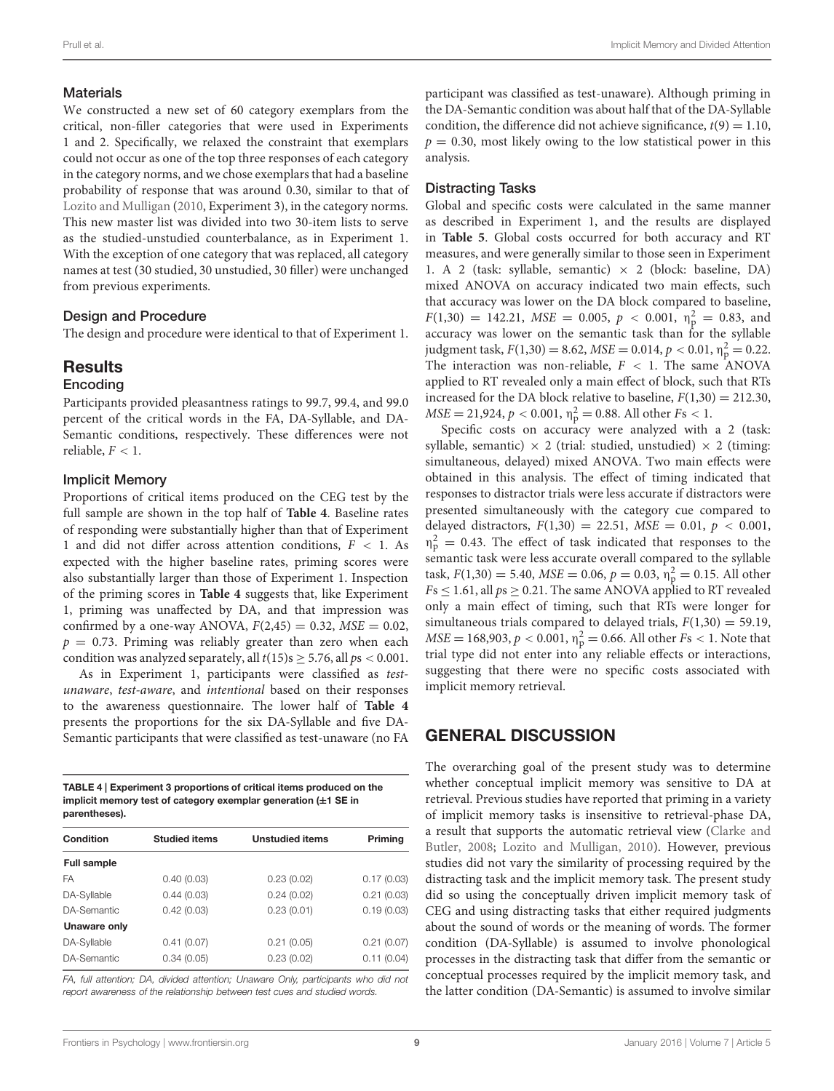### **Materials**

We constructed a new set of 60 category exemplars from the critical, non-filler categories that were used in Experiments 1 and 2. Specifically, we relaxed the constraint that exemplars could not occur as one of the top three responses of each category in the category norms, and we chose exemplars that had a baseline probability of response that was around 0.30, similar to that of [Lozito and Mulligan](#page-11-25) [\(2010,](#page-11-25) Experiment 3), in the category norms. This new master list was divided into two 30-item lists to serve as the studied-unstudied counterbalance, as in Experiment 1. With the exception of one category that was replaced, all category names at test (30 studied, 30 unstudied, 30 filler) were unchanged from previous experiments.

### Design and Procedure

The design and procedure were identical to that of Experiment 1.

# **Results**

### Encoding

Participants provided pleasantness ratings to 99.7, 99.4, and 99.0 percent of the critical words in the FA, DA-Syllable, and DA-Semantic conditions, respectively. These differences were not reliable,  $F < 1$ .

## Implicit Memory

Proportions of critical items produced on the CEG test by the full sample are shown in the top half of **[Table 4](#page-8-0)**. Baseline rates of responding were substantially higher than that of Experiment 1 and did not differ across attention conditions, *F <* 1. As expected with the higher baseline rates, priming scores were also substantially larger than those of Experiment 1. Inspection of the priming scores in **[Table 4](#page-8-0)** suggests that, like Experiment 1, priming was unaffected by DA, and that impression was confirmed by a one-way ANOVA,  $F(2,45) = 0.32$ ,  $MSE = 0.02$ ,  $p = 0.73$ . Priming was reliably greater than zero when each condition was analyzed separately, all  $t(15)$ s  $> 5.76$ , all  $ps < 0.001$ .

As in Experiment 1, participants were classified as *testunaware*, *test-aware*, and *intentional* based on their responses to the awareness questionnaire. The lower half of **[Table 4](#page-8-0)** presents the proportions for the six DA-Syllable and five DA-Semantic participants that were classified as test-unaware (no FA

<span id="page-8-0"></span>TABLE 4 | Experiment 3 proportions of critical items produced on the implicit memory test of category exemplar generation (**±**1 SE in parentheses).

| Condition          | <b>Studied items</b> | <b>Unstudied items</b> | Priming    |  |
|--------------------|----------------------|------------------------|------------|--|
| <b>Full sample</b> |                      |                        |            |  |
| FA                 | 0.40(0.03)           | 0.23(0.02)             | 0.17(0.03) |  |
| DA-Syllable        | 0.44(0.03)           | 0.24(0.02)             | 0.21(0.03) |  |
| DA-Semantic        | 0.42(0.03)           | 0.23(0.01)             | 0.19(0.03) |  |
| Unaware only       |                      |                        |            |  |
| DA-Syllable        | 0.41(0.07)           | 0.21(0.05)             | 0.21(0.07) |  |
| DA-Semantic        | 0.34(0.05)           | 0.23(0.02)             | 0.11(0.04) |  |

*FA, full attention; DA, divided attention; Unaware Only, participants who did not report awareness of the relationship between test cues and studied words.*

participant was classified as test-unaware). Although priming in the DA-Semantic condition was about half that of the DA-Syllable condition, the difference did not achieve significance,  $t(9) = 1.10$ ,  $p = 0.30$ , most likely owing to the low statistical power in this analysis.

# Distracting Tasks

Global and specific costs were calculated in the same manner as described in Experiment 1, and the results are displayed in **[Table 5](#page-9-0)**. Global costs occurred for both accuracy and RT measures, and were generally similar to those seen in Experiment 1. A 2 (task: syllable, semantic)  $\times$  2 (block: baseline, DA) mixed ANOVA on accuracy indicated two main effects, such that accuracy was lower on the DA block compared to baseline,  $F(1,30) = 142.21$ ,  $MSE = 0.005$ ,  $p < 0.001$ ,  $\eta_{\rm p}^2 = 0.83$ , and accuracy was lower on the semantic task than for the syllable judgment task,  $F(1,30) = 8.62$ ,  $MSE = 0.014$ ,  $p < 0.01$ ,  $\eta_p^2 = 0.22$ . The interaction was non-reliable,  $F < 1$ . The same ANOVA applied to RT revealed only a main effect of block, such that RTs increased for the DA block relative to baseline,  $F(1,30) = 212.30$ ,  $MSE = 21,924, p < 0.001, \eta_{\rm p}^2 = 0.88$ . All other *Fs* < 1.

Specific costs on accuracy were analyzed with a 2 (task: syllable, semantic)  $\times$  2 (trial: studied, unstudied)  $\times$  2 (timing: simultaneous, delayed) mixed ANOVA. Two main effects were obtained in this analysis. The effect of timing indicated that responses to distractor trials were less accurate if distractors were presented simultaneously with the category cue compared to delayed distractors, *F*(1,30) = 22.51, *MSE* = 0.01, *p <* 0.001,  $\eta_{\rm p}^2 = 0.43$ . The effect of task indicated that responses to the semantic task were less accurate overall compared to the syllable task,  $F(1,30) = 5.40$ ,  $MSE = 0.06$ ,  $p = 0.03$ ,  $\eta_p^2 = 0.15$ . All other  $Fs \leq 1.61$ , all  $ps \geq 0.21$ . The same ANOVA applied to RT revealed only a main effect of timing, such that RTs were longer for simultaneous trials compared to delayed trials,  $F(1,30) = 59.19$ ,  $MSE = 168,903, p < 0.001, \eta_p^2 = 0.66$ . All other *Fs* < 1. Note that trial type did not enter into any reliable effects or interactions, suggesting that there were no specific costs associated with implicit memory retrieval.

# GENERAL DISCUSSION

The overarching goal of the present study was to determine whether conceptual implicit memory was sensitive to DA at retrieval. Previous studies have reported that priming in a variety of implicit memory tasks is insensitive to retrieval-phase DA, a res[ult that supports the automatic retrieval view \(](#page-10-4)Clarke and Butler, [2008](#page-10-4); [Lozito and Mulligan](#page-11-25), [2010](#page-11-25)). However, previous studies did not vary the similarity of processing required by the distracting task and the implicit memory task. The present study did so using the conceptually driven implicit memory task of CEG and using distracting tasks that either required judgments about the sound of words or the meaning of words. The former condition (DA-Syllable) is assumed to involve phonological processes in the distracting task that differ from the semantic or conceptual processes required by the implicit memory task, and the latter condition (DA-Semantic) is assumed to involve similar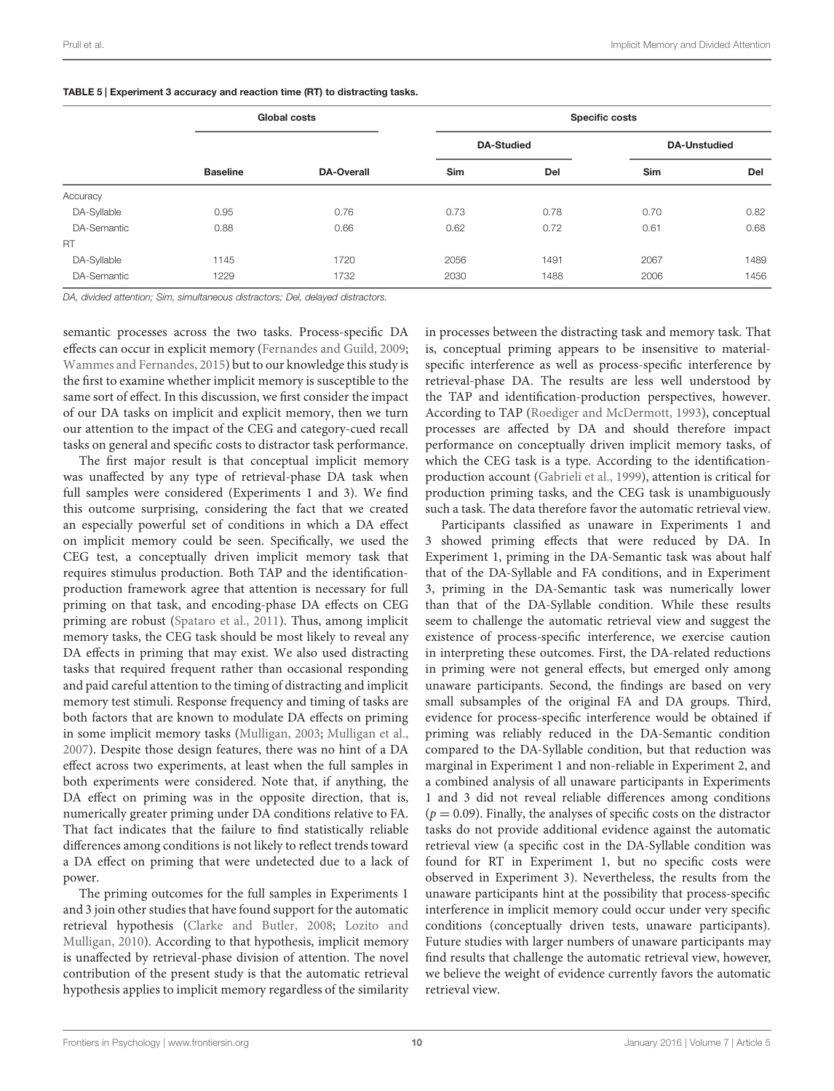|             | <b>Global costs</b> |                   |                   | <b>Specific costs</b> |                     |      |  |
|-------------|---------------------|-------------------|-------------------|-----------------------|---------------------|------|--|
|             |                     |                   | <b>DA-Studied</b> |                       | <b>DA-Unstudied</b> |      |  |
|             | <b>Baseline</b>     | <b>DA-Overall</b> | Sim               | Del                   | Sim                 | Del  |  |
| Accuracy    |                     |                   |                   |                       |                     |      |  |
| DA-Syllable | 0.95                | 0.76              | 0.73              | 0.78                  | 0.70                | 0.82 |  |
| DA-Semantic | 0.88                | 0.66              | 0.62              | 0.72                  | 0.61                | 0.68 |  |
| RT.         |                     |                   |                   |                       |                     |      |  |
| DA-Syllable | 1145                | 1720              | 2056              | 1491                  | 2067                | 1489 |  |
| DA-Semantic | 1229                | 1732              | 2030              | 1488                  | 2006                | 1456 |  |

<span id="page-9-0"></span>TABLE 5 | Experiment 3 accuracy and reaction time (RT) to distracting tasks.

*DA, divided attention; Sim, simultaneous distractors; Del, delayed distractors.*

semantic processes across the two tasks. Process-specific DA effects can occur in explicit memory [\(Fernandes and Guild](#page-10-5), [2009;](#page-10-5) [Wammes and Fernandes, 2015\)](#page-12-0) but to our knowledge this study is the first to examine whether implicit memory is susceptible to the same sort of effect. In this discussion, we first consider the impact of our DA tasks on implicit and explicit memory, then we turn our attention to the impact of the CEG and category-cued recall tasks on general and specific costs to distractor task performance.

The first major result is that conceptual implicit memory was unaffected by any type of retrieval-phase DA task when full samples were considered (Experiments 1 and 3). We find this outcome surprising, considering the fact that we created an especially powerful set of conditions in which a DA effect on implicit memory could be seen. Specifically, we used the CEG test, a conceptually driven implicit memory task that requires stimulus production. Both TAP and the identificationproduction framework agree that attention is necessary for full priming on that task, and encoding-phase DA effects on CEG priming are robust [\(Spataro et al., 2011](#page-11-13)). Thus, among implicit memory tasks, the CEG task should be most likely to reveal any DA effects in priming that may exist. We also used distracting tasks that required frequent rather than occasional responding and paid careful attention to the timing of distracting and implicit memory test stimuli. Response frequency and timing of tasks are both factors that are known to modulate DA effects on priming in some implicit memory tasks [\(Mulligan, 2003;](#page-11-28) [Mulligan et al.,](#page-11-29) [2007](#page-11-29)). Despite those design features, there was no hint of a DA effect across two experiments, at least when the full samples in both experiments were considered. Note that, if anything, the DA effect on priming was in the opposite direction, that is, numerically greater priming under DA conditions relative to FA. That fact indicates that the failure to find statistically reliable differences among conditions is not likely to reflect trends toward a DA effect on priming that were undetected due to a lack of power.

The priming outcomes for the full samples in Experiments 1 and 3 join other studies that have found support for the automatic retrieval [hypothesis](#page-11-25) [\(Clarke and Butler](#page-10-4)[,](#page-11-25) [2008;](#page-10-4) Lozito and Mulligan, [2010\)](#page-11-25). According to that hypothesis, implicit memory is unaffected by retrieval-phase division of attention. The novel contribution of the present study is that the automatic retrieval hypothesis applies to implicit memory regardless of the similarity

in processes between the distracting task and memory task. That is, conceptual priming appears to be insensitive to materialspecific interference as well as process-specific interference by retrieval-phase DA. The results are less well understood by the TAP and identification-production perspectives, however. According to TAP [\(Roediger and McDermott](#page-11-14), [1993\)](#page-11-14), conceptual processes are affected by DA and should therefore impact performance on conceptually driven implicit memory tasks, of which the CEG task is a type. According to the identificationproduction account [\(Gabrieli et al.](#page-11-9), [1999](#page-11-9)), attention is critical for production priming tasks, and the CEG task is unambiguously such a task. The data therefore favor the automatic retrieval view.

Participants classified as unaware in Experiments 1 and 3 showed priming effects that were reduced by DA. In Experiment 1, priming in the DA-Semantic task was about half that of the DA-Syllable and FA conditions, and in Experiment 3, priming in the DA-Semantic task was numerically lower than that of the DA-Syllable condition. While these results seem to challenge the automatic retrieval view and suggest the existence of process-specific interference, we exercise caution in interpreting these outcomes. First, the DA-related reductions in priming were not general effects, but emerged only among unaware participants. Second, the findings are based on very small subsamples of the original FA and DA groups. Third, evidence for process-specific interference would be obtained if priming was reliably reduced in the DA-Semantic condition compared to the DA-Syllable condition, but that reduction was marginal in Experiment 1 and non-reliable in Experiment 2, and a combined analysis of all unaware participants in Experiments 1 and 3 did not reveal reliable differences among conditions  $(p = 0.09)$ . Finally, the analyses of specific costs on the distractor tasks do not provide additional evidence against the automatic retrieval view (a specific cost in the DA-Syllable condition was found for RT in Experiment 1, but no specific costs were observed in Experiment 3). Nevertheless, the results from the unaware participants hint at the possibility that process-specific interference in implicit memory could occur under very specific conditions (conceptually driven tests, unaware participants). Future studies with larger numbers of unaware participants may find results that challenge the automatic retrieval view, however, we believe the weight of evidence currently favors the automatic retrieval view.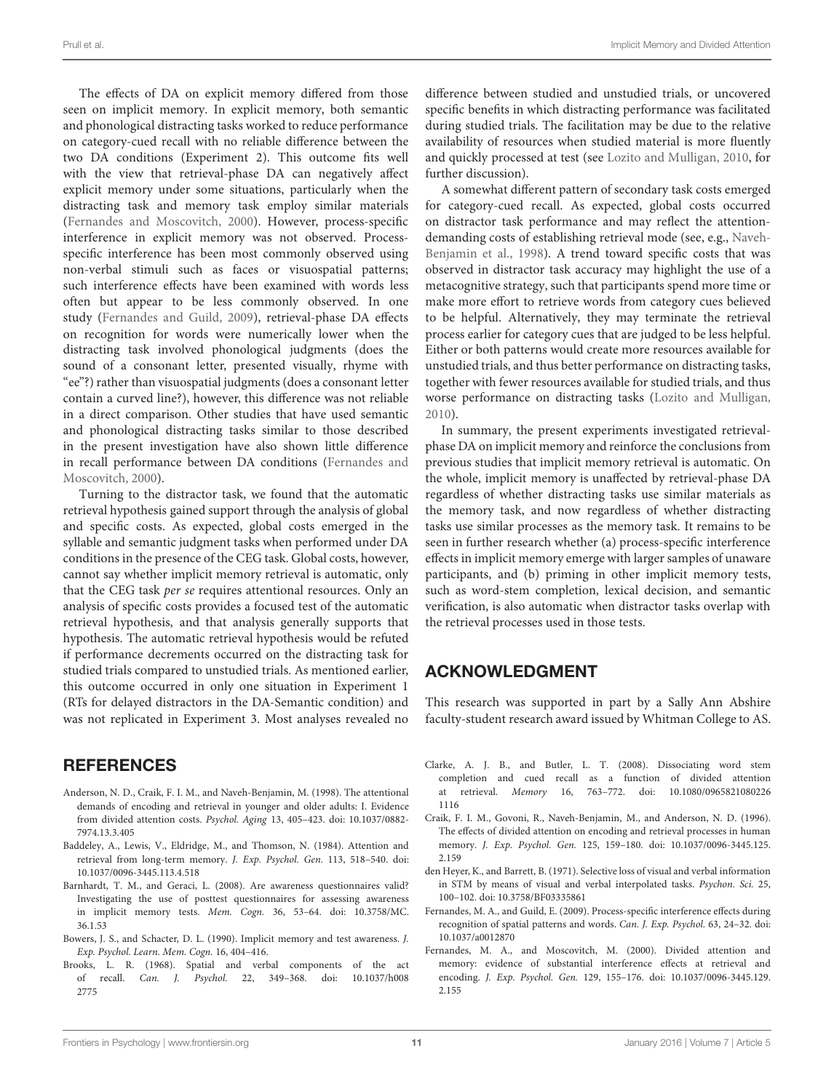The effects of DA on explicit memory differed from those seen on implicit memory. In explicit memory, both semantic and phonological distracting tasks worked to reduce performance on category-cued recall with no reliable difference between the two DA conditions (Experiment 2). This outcome fits well with the view that retrieval-phase DA can negatively affect explicit memory under some situations, particularly when the distracting task and memory task employ similar materials [\(Fernandes and Moscovitch](#page-10-3), [2000\)](#page-10-3). However, process-specific interference in explicit memory was not observed. Processspecific interference has been most commonly observed using non-verbal stimuli such as faces or visuospatial patterns; such interference effects have been examined with words less often but appear to be less commonly observed. In one study [\(Fernandes and Guild, 2009\)](#page-10-5), retrieval-phase DA effects on recognition for words were numerically lower when the distracting task involved phonological judgments (does the sound of a consonant letter, presented visually, rhyme with "ee"?) rather than visuospatial judgments (does a consonant letter contain a curved line?), however, this difference was not reliable in a direct comparison. Other studies that have used semantic and phonological distracting tasks similar to those described in the present investigation have also shown little difference in recall pe[rformance](#page-10-3) [between](#page-10-3) [DA](#page-10-3) [conditions](#page-10-3) [\(](#page-10-3)Fernandes and Moscovitch, [2000](#page-10-3)).

Turning to the distractor task, we found that the automatic retrieval hypothesis gained support through the analysis of global and specific costs. As expected, global costs emerged in the syllable and semantic judgment tasks when performed under DA conditions in the presence of the CEG task. Global costs, however, cannot say whether implicit memory retrieval is automatic, only that the CEG task *per se* requires attentional resources. Only an analysis of specific costs provides a focused test of the automatic retrieval hypothesis, and that analysis generally supports that hypothesis. The automatic retrieval hypothesis would be refuted if performance decrements occurred on the distracting task for studied trials compared to unstudied trials. As mentioned earlier, this outcome occurred in only one situation in Experiment 1 (RTs for delayed distractors in the DA-Semantic condition) and was not replicated in Experiment 3. Most analyses revealed no

# **REFERENCES**

- <span id="page-10-2"></span>Anderson, N. D., Craik, F. I. M., and Naveh-Benjamin, M. (1998). The attentional demands of encoding and retrieval in younger and older adults: I. Evidence from divided attention costs. *Psychol. Aging* 13, 405–423. doi: 10.1037/0882- 7974.13.3.405
- <span id="page-10-0"></span>Baddeley, A., Lewis, V., Eldridge, M., and Thomson, N. (1984). Attention and retrieval from long-term memory. *J. Exp. Psychol. Gen.* 113, 518–540. doi: 10.1037/0096-3445.113.4.518
- <span id="page-10-9"></span>Barnhardt, T. M., and Geraci, L. (2008). Are awareness questionnaires valid? Investigating the use of posttest questionnaires for assessing awareness in implicit memory tests. *Mem. Cogn.* 36, 53–64. doi: 10.3758/MC. 36.1.53
- <span id="page-10-8"></span>Bowers, J. S., and Schacter, D. L. (1990). Implicit memory and test awareness. *J. Exp. Psychol. Learn. Mem. Cogn.* 16, 404–416.
- <span id="page-10-6"></span>Brooks, L. R. (1968). Spatial and verbal components of the act of recall. *Can. J. Psychol.* 22, 349–368. doi: 10.1037/h008 2775

difference between studied and unstudied trials, or uncovered specific benefits in which distracting performance was facilitated during studied trials. The facilitation may be due to the relative availability of resources when studied material is more fluently and quickly processed at test (see [Lozito and Mulligan, 2010,](#page-11-25) for further discussion).

A somewhat different pattern of secondary task costs emerged for category-cued recall. As expected, global costs occurred on distractor task performance and may reflect the attentiondemanding cos[ts of establishing retrieval mode \(see, e.g.,](#page-11-2) Naveh-Benjamin et al., [1998](#page-11-2)). A trend toward specific costs that was observed in distractor task accuracy may highlight the use of a metacognitive strategy, such that participants spend more time or make more effort to retrieve words from category cues believed to be helpful. Alternatively, they may terminate the retrieval process earlier for category cues that are judged to be less helpful. Either or both patterns would create more resources available for unstudied trials, and thus better performance on distracting tasks, together with fewer resources available for studied trials, and thus worse performance on distracting tasks [\(Lozito and Mulligan](#page-11-25), [2010\)](#page-11-25).

In summary, the present experiments investigated retrievalphase DA on implicit memory and reinforce the conclusions from previous studies that implicit memory retrieval is automatic. On the whole, implicit memory is unaffected by retrieval-phase DA regardless of whether distracting tasks use similar materials as the memory task, and now regardless of whether distracting tasks use similar processes as the memory task. It remains to be seen in further research whether (a) process-specific interference effects in implicit memory emerge with larger samples of unaware participants, and (b) priming in other implicit memory tests, such as word-stem completion, lexical decision, and semantic verification, is also automatic when distractor tasks overlap with the retrieval processes used in those tests.

# ACKNOWLEDGMENT

This research was supported in part by a Sally Ann Abshire faculty-student research award issued by Whitman College to AS.

- <span id="page-10-4"></span>Clarke, A. J. B., and Butler, L. T. (2008). Dissociating word stem completion and cued recall as a function of divided attention at retrieval. *Memory* 16, 763–772. doi: 10.1080/0965821080226 1116
- <span id="page-10-1"></span>Craik, F. I. M., Govoni, R., Naveh-Benjamin, M., and Anderson, N. D. (1996). The effects of divided attention on encoding and retrieval processes in human memory. *J. Exp. Psychol. Gen.* 125, 159–180. doi: 10.1037/0096-3445.125. 2.159
- <span id="page-10-7"></span>den Heyer, K., and Barrett, B. (1971). Selective loss of visual and verbal information in STM by means of visual and verbal interpolated tasks. *Psychon. Sci.* 25, 100–102. doi: 10.3758/BF03335861
- <span id="page-10-5"></span>Fernandes, M. A., and Guild, E. (2009). Process-specific interference effects during recognition of spatial patterns and words. *Can. J. Exp. Psychol.* 63, 24–32. doi: 10.1037/a0012870
- <span id="page-10-3"></span>Fernandes, M. A., and Moscovitch, M. (2000). Divided attention and memory: evidence of substantial interference effects at retrieval and encoding. *J. Exp. Psychol. Gen.* 129, 155–176. doi: 10.1037/0096-3445.129. 2.155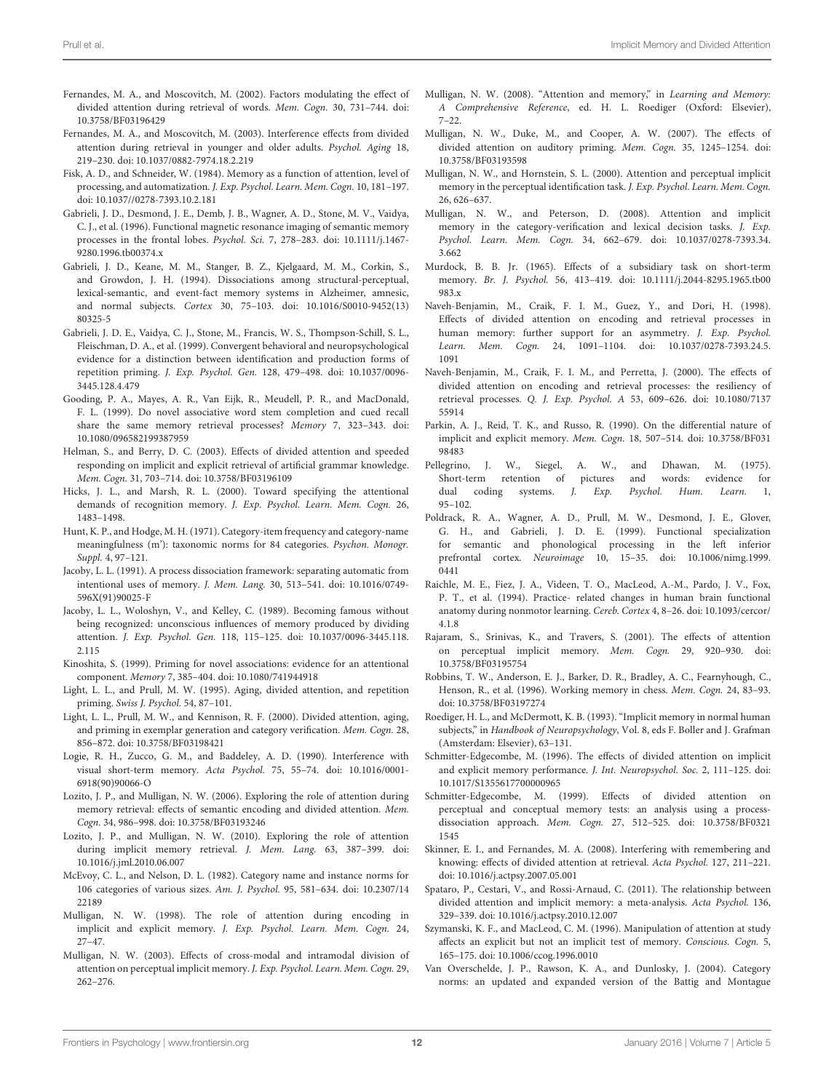- <span id="page-11-22"></span>Fernandes, M. A., and Moscovitch, M. (2002). Factors modulating the effect of divided attention during retrieval of words. *Mem. Cogn.* 30, 731–744. doi: 10.3758/BF03196429
- <span id="page-11-23"></span>Fernandes, M. A., and Moscovitch, M. (2003). Interference effects from divided attention during retrieval in younger and older adults. *Psychol. Aging* 18, 219–230. doi: 10.1037/0882-7974.18.2.219
- <span id="page-11-1"></span>Fisk, A. D., and Schneider, W. (1984). Memory as a function of attention, level of processing, and automatization. *J. Exp. Psychol. Learn. Mem. Cogn.* 10, 181–197. doi: 10.1037//0278-7393.10.2.181
- <span id="page-11-37"></span>Gabrieli, J. D., Desmond, J. E., Demb, J. B., Wagner, A. D., Stone, M. V., Vaidya, C. J., et al. (1996). Functional magnetic resonance imaging of semantic memory processes in the frontal lobes. *Psychol. Sci.* 7, 278–283. doi: 10.1111/j.1467- 9280.1996.tb00374.x
- <span id="page-11-16"></span>Gabrieli, J. D., Keane, M. M., Stanger, B. Z., Kjelgaard, M. M., Corkin, S., and Growdon, J. H. (1994). Dissociations among structural-perceptual, lexical-semantic, and event-fact memory systems in Alzheimer, amnesic, and normal subjects. *Cortex* 30, 75–103. doi: 10.1016/S0010-9452(13) 80325-5
- <span id="page-11-9"></span>Gabrieli, J. D. E., Vaidya, C. J., Stone, M., Francis, W. S., Thompson-Schill, S. L., Fleischman, D. A., et al. (1999). Convergent behavioral and neuropsychological evidence for a distinction between identification and production forms of repetition priming. *J. Exp. Psychol. Gen.* 128, 479–498. doi: 10.1037/0096- 3445.128.4.479
- <span id="page-11-26"></span>Gooding, P. A., Mayes, A. R., Van Eijk, R., Meudell, P. R., and MacDonald, F. L. (1999). Do novel associative word stem completion and cued recall share the same memory retrieval processes? *Memory* 7, 323–343. doi: 10.1080/096582199387959
- <span id="page-11-31"></span>Helman, S., and Berry, D. C. (2003). Effects of divided attention and speeded responding on implicit and explicit retrieval of artificial grammar knowledge. *Mem. Cogn.* 31, 703–714. doi: 10.3758/BF03196109
- <span id="page-11-20"></span>Hicks, J. L., and Marsh, R. L. (2000). Toward specifying the attentional demands of recognition memory. *J. Exp. Psychol. Learn. Mem. Cogn.* 26, 1483–1498.
- <span id="page-11-38"></span>Hunt, K. P., and Hodge, M. H. (1971). Category-item frequency and category-name meaningfulness (m'): taxonomic norms for 84 categories. *Psychon. Monogr. Suppl.* 4, 97–121.
- <span id="page-11-19"></span>Jacoby, L. L. (1991). A process dissociation framework: separating automatic from intentional uses of memory. *J. Mem. Lang.* 30, 513–541. doi: 10.1016/0749- 596X(91)90025-F
- <span id="page-11-30"></span>Jacoby, L. L., Woloshyn, V., and Kelley, C. (1989). Becoming famous without being recognized: unconscious influences of memory produced by dividing attention. *J. Exp. Psychol. Gen.* 118, 115–125. doi: 10.1037/0096-3445.118. 2.115
- <span id="page-11-27"></span>Kinoshita, S. (1999). Priming for novel associations: evidence for an attentional component. *Memory* 7, 385–404. doi: 10.1080/741944918
- <span id="page-11-17"></span>Light, L. L., and Prull, M. W. (1995). Aging, divided attention, and repetition priming. *Swiss J. Psychol.* 54, 87–101.
- <span id="page-11-10"></span>Light, L. L., Prull, M. W., and Kennison, R. F. (2000). Divided attention, aging, and priming in exemplar generation and category verification. *Mem. Cogn.* 28, 856–872. doi: 10.3758/BF03198421
- <span id="page-11-33"></span>Logie, R. H., Zucco, G. M., and Baddeley, A. D. (1990). Interference with visual short-term memory. *Acta Psychol.* 75, 55–74. doi: 10.1016/0001- 6918(90)90066-O
- <span id="page-11-21"></span>Lozito, J. P., and Mulligan, N. W. (2006). Exploring the role of attention during memory retrieval: effects of semantic encoding and divided attention. *Mem. Cogn.* 34, 986–998. doi: 10.3758/BF03193246
- <span id="page-11-25"></span>Lozito, J. P., and Mulligan, N. W. (2010). Exploring the role of attention during implicit memory retrieval. *J. Mem. Lang.* 63, 387–399. doi: 10.1016/j.jml.2010.06.007
- <span id="page-11-39"></span>McEvoy, C. L., and Nelson, D. L. (1982). Category name and instance norms for 106 categories of various sizes. *Am. J. Psychol.* 95, 581–634. doi: 10.2307/14 22189
- <span id="page-11-8"></span>Mulligan, N. W. (1998). The role of attention during encoding in implicit and explicit memory. *J. Exp. Psychol. Learn. Mem. Cogn.* 24, 27–47.
- <span id="page-11-28"></span>Mulligan, N. W. (2003). Effects of cross-modal and intramodal division of attention on perceptual implicit memory. *J. Exp. Psychol. Learn. Mem. Cogn.* 29, 262–276.
- <span id="page-11-4"></span>Mulligan, N. W. (2008). "Attention and memory," in *Learning and Memory: A Comprehensive Reference*, ed. H. L. Roediger (Oxford: Elsevier),  $7 - 22$
- <span id="page-11-29"></span>Mulligan, N. W., Duke, M., and Cooper, A. W. (2007). The effects of divided attention on auditory priming. *Mem. Cogn.* 35, 1245–1254. doi: 10.3758/BF03193598
- <span id="page-11-15"></span>Mulligan, N. W., and Hornstein, S. L. (2000). Attention and perceptual implicit memory in the perceptual identification task. *J. Exp. Psychol. Learn. Mem. Cogn.* 26, 626–637.
- <span id="page-11-12"></span>Mulligan, N. W., and Peterson, D. (2008). Attention and implicit memory in the category-verification and lexical decision tasks. *J. Exp. Psychol. Learn. Mem. Cogn.* 34, 662–679. doi: 10.1037/0278-7393.34. 3.662
- <span id="page-11-0"></span>Murdock, B. B. Jr. (1965). Effects of a subsidiary task on short-term memory. *Br. J. Psychol.* 56, 413–419. doi: 10.1111/j.2044-8295.1965.tb00 983.x
- <span id="page-11-2"></span>Naveh-Benjamin, M., Craik, F. I. M., Guez, Y., and Dori, H. (1998). Effects of divided attention on encoding and retrieval processes in human memory: further support for an asymmetry. *J. Exp. Psychol. Learn. Mem. Cogn.* 24, 1091–1104. doi: 10.1037/0278-7393.24.5. 1091
- <span id="page-11-3"></span>Naveh-Benjamin, M., Craik, F. I. M., and Perretta, J. (2000). The effects of divided attention on encoding and retrieval processes: the resiliency of retrieval processes. *Q. J. Exp. Psychol. A* 53, 609–626. doi: 10.1080/7137 55914
- <span id="page-11-5"></span>Parkin, A. J., Reid, T. K., and Russo, R. (1990). On the differential nature of implicit and explicit memory. *Mem. Cogn.* 18, 507–514. doi: 10.3758/BF031 98483
- <span id="page-11-32"></span>Pellegrino, J. W., Siegel, A. W., and Dhawan, M. (1975). Short-term retention of pictures and words: evidence for dual coding systems. J. Exp. Psychol. Hum. Learn. 1, dual coding systems. *J. Exp. Psychol. Hum. Learn.* 1, 95–102.
- <span id="page-11-35"></span>Poldrack, R. A., Wagner, A. D., Prull, M. W., Desmond, J. E., Glover, G. H., and Gabrieli, J. D. E. (1999). Functional specialization for semantic and phonological processing in the left inferior prefrontal cortex. *Neuroimage* 10, 15–35. doi: 10.1006/nimg.1999. 0441
- <span id="page-11-36"></span>Raichle, M. E., Fiez, J. A., Videen, T. O., MacLeod, A.-M., Pardo, J. V., Fox, P. T., et al. (1994). Practice- related changes in human brain functional anatomy during nonmotor learning. *Cereb. Cortex* 4, 8–26. doi: 10.1093/cercor/ 4.1.8
- <span id="page-11-11"></span>Rajaram, S., Srinivas, K., and Travers, S. (2001). The effects of attention on perceptual implicit memory. *Mem. Cogn.* 29, 920–930. doi: 10.3758/BF03195754
- <span id="page-11-34"></span>Robbins, T. W., Anderson, E. J., Barker, D. R., Bradley, A. C., Fearnyhough, C., Henson, R., et al. (1996). Working memory in chess. *Mem. Cogn.* 24, 83–93. doi: 10.3758/BF03197274
- <span id="page-11-14"></span>Roediger, H. L., and McDermott, K. B. (1993). "Implicit memory in normal human subjects," in *Handbook of Neuropsychology*, Vol. 8, eds F. Boller and J. Grafman (Amsterdam: Elsevier), 63–131.
- <span id="page-11-6"></span>Schmitter-Edgecombe, M. (1996). The effects of divided attention on implicit and explicit memory performance. *J. Int. Neuropsychol. Soc.* 2, 111–125. doi: 10.1017/S1355617700000965
- <span id="page-11-18"></span>Schmitter-Edgecombe, M. (1999). Effects of divided attention on perceptual and conceptual memory tests: an analysis using a processdissociation approach. *Mem. Cogn.* 27, 512–525. doi: 10.3758/BF0321 1545
- <span id="page-11-24"></span>Skinner, E. I., and Fernandes, M. A. (2008). Interfering with remembering and knowing: effects of divided attention at retrieval. *Acta Psychol.* 127, 211–221. doi: 10.1016/j.actpsy.2007.05.001
- <span id="page-11-13"></span>Spataro, P., Cestari, V., and Rossi-Arnaud, C. (2011). The relationship between divided attention and implicit memory: a meta-analysis. *Acta Psychol.* 136, 329–339. doi: 10.1016/j.actpsy.2010.12.007
- <span id="page-11-7"></span>Szymanski, K. F., and MacLeod, C. M. (1996). Manipulation of attention at study affects an explicit but not an implicit test of memory. *Conscious. Cogn.* 5, 165–175. doi: 10.1006/ccog.1996.0010
- <span id="page-11-40"></span>Van Overschelde, J. P., Rawson, K. A., and Dunlosky, J. (2004). Category norms: an updated and expanded version of the Battig and Montague